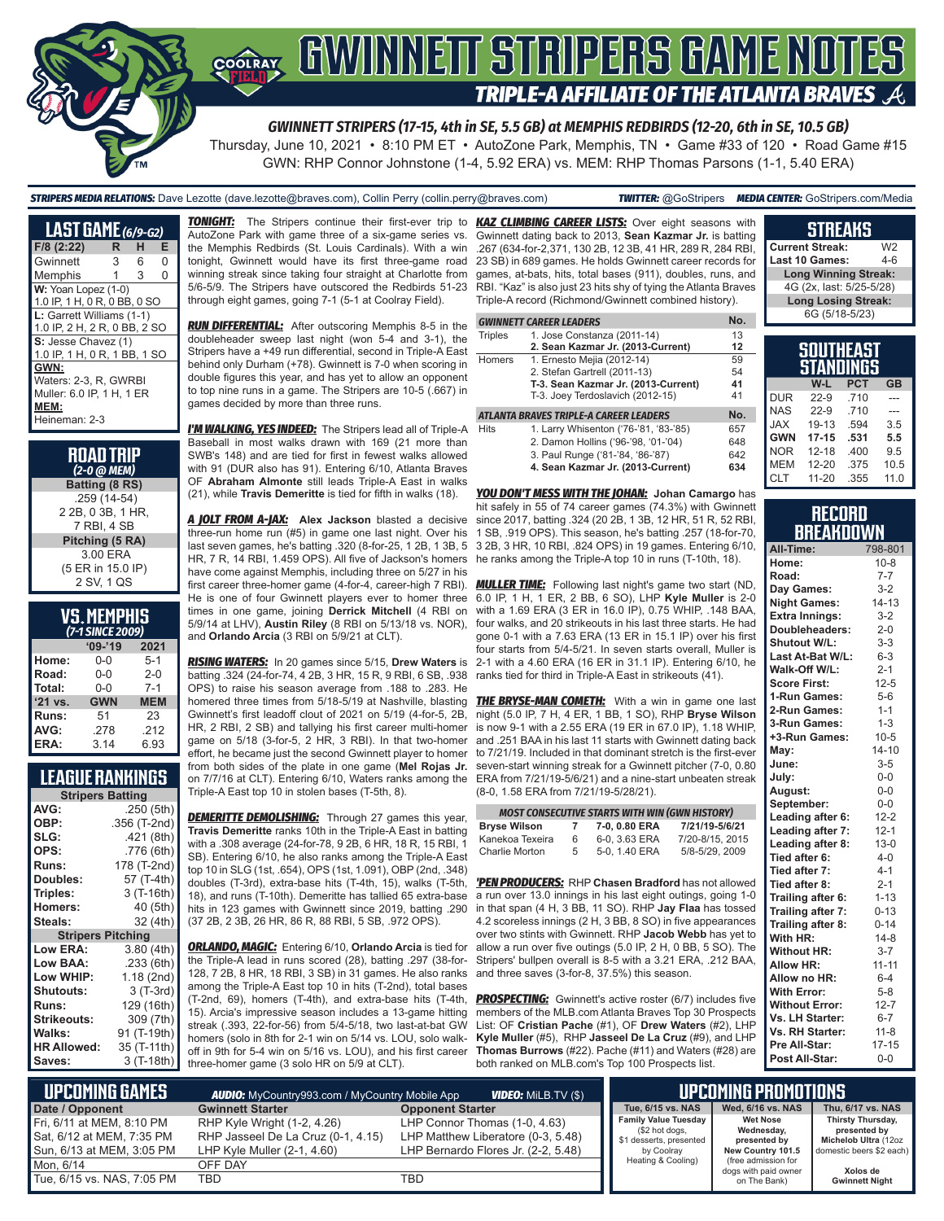

Thursday, June 10, 2021 • 8:10 PM ET • AutoZone Park, Memphis, TN • Game #33 of 120 • Road Game #15 GWN: RHP Connor Johnstone (1-4, 5.92 ERA) vs. MEM: RHP Thomas Parsons (1-1, 5.40 ERA)

*STRIPERS MEDIA RELATIONS:* Dave Lezotte (dave.lezotte@braves.com), Collin Perry (collin.perry@braves.com) *TWITTER:* @GoStripers *MEDIA CENTER:* GoStripers.com/Media

| <b>LAST GAME</b> (6/9-G2)    |    |   |   |
|------------------------------|----|---|---|
| F/8 (2:22)                   | R  | н | Е |
| Gwinnett                     | 3  | 6 | N |
| Memphis                      | 1. | 3 | O |
| W: Yoan Lopez (1-0)          |    |   |   |
| 1.0 IP, 1 H, 0 R, 0 BB, 0 SO |    |   |   |
| L: Garrett Williams (1-1)    |    |   |   |
| 1.0 IP, 2 H, 2 R, 0 BB, 2 SO |    |   |   |
| S: Jesse Chavez (1)          |    |   |   |
| 1.0 IP, 1 H, 0 R, 1 BB, 1 SO |    |   |   |
| GWN:                         |    |   |   |
| Waters: 2-3, R, GWRBI        |    |   |   |
| Muller: 6.0 IP, 1 H, 1 ER    |    |   |   |
| MEM:                         |    |   |   |
| Heineman: 2-3                |    |   |   |

| <b>ROAD TRIP</b><br>(2-0 @ МЕМ) |
|---------------------------------|
| Batting (8 RS)                  |
| .259 (14-54)                    |
| 2 2B, 0 3B, 1 HR.               |
| 7 RBI, 4 SB                     |
| Pitching (5 RA)                 |
| 3.00 ERA                        |
| (5 ER in 15.0 IP)               |
| 2 SV, 1 QS                      |

# **VS. MEMPHIS**

| (7-1 SINCE 2009) |            |            |  |  |  |  |
|------------------|------------|------------|--|--|--|--|
|                  | $'09-'19$  | 2021       |  |  |  |  |
| Home:            | $0 - 0$    | $5 - 1$    |  |  |  |  |
| Road:            | $0 - 0$    | $2 - 0$    |  |  |  |  |
| Total:           | $0 - 0$    | $7 - 1$    |  |  |  |  |
| '21 vs.          | <b>GWN</b> | <b>MEM</b> |  |  |  |  |
| Runs:            | 51         | 23         |  |  |  |  |
| AVG:             | .278       | .212       |  |  |  |  |
| ERA:             | 3.14       | 6.93       |  |  |  |  |

# **LEAGUE RANKINGS**

| AVG:<br>.250 (5th)                |  |
|-----------------------------------|--|
|                                   |  |
| OBP:<br>.356 (T-2nd)              |  |
| SLG:<br>.421 (8th)                |  |
| OPS:<br>.776 (6th)                |  |
| 178 (T-2nd)<br><b>Runs:</b>       |  |
| 57 (T-4th)<br>Doubles:            |  |
| Triples:<br>3 (T-16th)            |  |
| 40 (5th)<br><b>Homers:</b>        |  |
| 32 (4th)<br>Steals:               |  |
| <b>Stripers Pitching</b>          |  |
| <b>Low ERA:</b><br>3.80(4th)      |  |
| Low BAA:<br>.233(6th)             |  |
| Low WHIP:<br>1.18 (2nd)           |  |
| 3 (T-3rd)<br><b>Shutouts:</b>     |  |
| 129 (16th)<br><b>Runs:</b>        |  |
| Strikeouts:<br>309 (7th)          |  |
| Walks:<br>91 (T-19th)             |  |
| 35 (T-11th)<br><b>HR Allowed:</b> |  |
| 3 (T-18th)<br>Saves:              |  |

AutoZone Park with game three of a six-game series vs. the Memphis Redbirds (St. Louis Cardinals). With a win tonight, Gwinnett would have its first three-game road winning streak since taking four straight at Charlotte from 5/6-5/9. The Stripers have outscored the Redbirds 51-23 through eight games, going 7-1 (5-1 at Coolray Field).

*RUN DIFFERENTIAL:* After outscoring Memphis 8-5 in the doubleheader sweep last night (won 5-4 and 3-1), the Stripers have a +49 run differential, second in Triple-A East behind only Durham (+78). Gwinnett is 7-0 when scoring in double figures this year, and has yet to allow an opponent to top nine runs in a game. The Stripers are 10-5 (.667) in games decided by more than three runs.

*I'M WALKING, YES INDEED:* The Stripers lead all of Triple-A Baseball in most walks drawn with 169 (21 more than SWB's 148) and are tied for first in fewest walks allowed with 91 (DUR also has 91). Entering 6/10, Atlanta Braves OF **Abraham Almonte** still leads Triple-A East in walks (21), while **Travis Demeritte** is tied for fifth in walks (18).

*A JOLT FROM A-JAX:* **Alex Jackson** blasted a decisive three-run home run (#5) in game one last night. Over his last seven games, he's batting .320 (8-for-25, 1 2B, 1 3B, 5 HR, 7 R, 14 RBI, 1.459 OPS). All five of Jackson's homers have come against Memphis, including three on 5/27 in his first career three-homer game (4-for-4, career-high 7 RBI). He is one of four Gwinnett players ever to homer three times in one game, joining **Derrick Mitchell** (4 RBI on and **Orlando Arcia** (3 RBI on 5/9/21 at CLT).

*RISING WATERS:* In 20 games since 5/15, **Drew Waters** is batting .324 (24-for-74, 4 2B, 3 HR, 15 R, 9 RBI, 6 SB, .938 OPS) to raise his season average from .188 to .283. He homered three times from 5/18-5/19 at Nashville, blasting *THE BRYSE-MAN COMETH:* With a win in game one last Gwinnett's first leadoff clout of 2021 on 5/19 (4-for-5, 2B, HR, 2 RBI, 2 SB) and tallying his first career multi-homer game on 5/18 (3-for-5, 2 HR, 3 RBI). In that two-homer effort, he became just the second Gwinnett player to homer from both sides of the plate in one game (**Mel Rojas Jr.** on 7/7/16 at CLT). Entering 6/10, Waters ranks among the Triple-A East top 10 in stolen bases (T-5th, 8).

**DEMERITTE DEMOLISHING:** Through 27 games this year, **Travis Demeritte** ranks 10th in the Triple-A East in batting with a .308 average (24-for-78, 9 2B, 6 HR, 18 R, 15 RBI, 1 SB). Entering 6/10, he also ranks among the Triple-A East top 10 in SLG (1st, .654), OPS (1st, 1.091), OBP (2nd, .348) doubles (T-3rd), extra-base hits (T-4th, 15), walks (T-5th, 18), and runs (T-10th). Demeritte has tallied 65 extra-base hits in 123 games with Gwinnett since 2019, batting .290 (37 2B, 2 3B, 26 HR, 86 R, 88 RBI, 5 SB, .972 OPS).

*ORLANDO, MAGIC:* Entering 6/10, **Orlando Arcia** is tied for the Triple-A lead in runs scored (28), batting .297 (38-for-128, 7 2B, 8 HR, 18 RBI, 3 SB) in 31 games. He also ranks among the Triple-A East top 10 in hits (T-2nd), total bases (T-2nd, 69), homers (T-4th), and extra-base hits (T-4th, 15). Arcia's impressive season includes a 13-game hitting streak (.393, 22-for-56) from 5/4-5/18, two last-at-bat GW homers (solo in 8th for 2-1 win on 5/14 vs. LOU, solo walkoff in 9th for 5-4 win on 5/16 vs. LOU), and his first career three-homer game (3 solo HR on 5/9 at CLT).

*TONIGHT:* The Stripers continue their first-ever trip to *KAZ CLIMBING CAREER LISTS:* Over eight seasons with Gwinnett dating back to 2013, **Sean Kazmar Jr.** is batting .267 (634-for-2,371, 130 2B, 12 3B, 41 HR, 289 R, 284 RBI, 23 SB) in 689 games. He holds Gwinnett career records for games, at-bats, hits, total bases (911), doubles, runs, and RBI. "Kaz" is also just 23 hits shy of tying the Atlanta Braves Triple-A record (Richmond/Gwinnett combined history).

|                | <b>GWINNETT CAREER LEADERS</b>         | No. |
|----------------|----------------------------------------|-----|
| <b>Triples</b> | 1. Jose Constanza (2011-14)            | 13  |
|                | 2. Sean Kazmar Jr. (2013-Current)      | 12  |
| Homers         | 1. Ernesto Mejia (2012-14)             | 59  |
|                | 2. Stefan Gartrell (2011-13)           | 54  |
|                | T-3. Sean Kazmar Jr. (2013-Current)    | 41  |
|                | T-3. Joey Terdoslavich (2012-15)       | 41  |
|                | ATLANTA BRAVES TRIPLE-A CAREER LEADERS | No. |
| <b>Hits</b>    | 1. Larry Whisenton ('76-'81, '83-'85)  | 657 |
|                | 2. Damon Hollins ('96-'98, '01-'04)    | 648 |
|                | 3. Paul Runge ('81-'84, '86-'87)       | 642 |
|                | 4. Sean Kazmar Jr. (2013-Current)      | 634 |

*YOU DON'T MESS WITH THE JOHAN:* **Johan Camargo** has hit safely in 55 of 74 career games (74.3%) with Gwinnett since 2017, batting .324 (20 2B, 1 3B, 12 HR, 51 R, 52 RBI, 1 SB, .919 OPS). This season, he's batting .257 (18-for-70, 3 2B, 3 HR, 10 RBI, .824 OPS) in 19 games. Entering 6/10, he ranks among the Triple-A top 10 in runs (T-10th, 18).

5/9/14 at LHV), **Austin Riley** (8 RBI on 5/13/18 vs. NOR), four walks, and 20 strikeouts in his last three starts. He had *MULLER TIME:* Following last night's game two start (ND, 6.0 IP, 1 H, 1 ER, 2 BB, 6 SO), LHP **Kyle Muller** is 2-0 with a 1.69 ERA (3 ER in 16.0 IP), 0.75 WHIP, .148 BAA, gone 0-1 with a 7.63 ERA (13 ER in 15.1 IP) over his first four starts from 5/4-5/21. In seven starts overall, Muller is 2-1 with a 4.60 ERA (16 ER in 31.1 IP). Entering 6/10, he ranks tied for third in Triple-A East in strikeouts (41).

> night (5.0 IP, 7 H, 4 ER, 1 BB, 1 SO), RHP **Bryse Wilson** is now 9-1 with a 2.55 ERA (19 ER in 67.0 IP), 1.18 WHIP, and .251 BAA in his last 11 starts with Gwinnett dating back to 7/21/19. Included in that dominant stretch is the first-ever seven-start winning streak for a Gwinnett pitcher (7-0, 0.80 ERA from 7/21/19-5/6/21) and a nine-start unbeaten streak (8-0, 1.58 ERA from 7/21/19-5/28/21).

| <b>MOST CONSECUTIVE STARTS WITH WIN (GWN HISTORY)</b>       |    |               |                 |  |  |  |
|-------------------------------------------------------------|----|---------------|-----------------|--|--|--|
| 7/21/19-5/6/21<br><b>Bryse Wilson</b><br>7-0, 0.80 ERA<br>7 |    |               |                 |  |  |  |
| Kanekoa Texeira                                             | 6  | 6-0, 3.63 ERA | 7/20-8/15, 2015 |  |  |  |
| Charlie Morton                                              | 5. | 5-0, 1.40 ERA | 5/8-5/29, 2009  |  |  |  |

*'PEN PRODUCERS:* RHP **Chasen Bradford** has not allowed a run over 13.0 innings in his last eight outings, going 1-0 in that span (4 H, 3 BB, 11 SO). RHP **Jay Flaa** has tossed 4.2 scoreless innings (2 H, 3 BB, 8 SO) in five appearances over two stints with Gwinnett. RHP **Jacob Webb** has yet to allow a run over five outings (5.0 IP, 2 H, 0 BB, 5 SO). The Stripers' bullpen overall is 8-5 with a 3.21 ERA, .212 BAA, and three saves (3-for-8, 37.5%) this season.

**PROSPECTING:** Gwinnett's active roster (6/7) includes five members of the MLB.com Atlanta Braves Top 30 Prospects List: OF **Cristian Pache** (#1), OF **Drew Waters** (#2), LHP **Kyle Muller** (#5), RHP **Jasseel De La Cruz** (#9), and LHP **Thomas Burrows** (#22). Pache (#11) and Waters (#28) are both ranked on MLB.com's Top 100 Prospects list.

| <b>Current Streak:</b>      | W2  |
|-----------------------------|-----|
| Last 10 Games:              | 4-6 |
| <b>Long Winning Streak:</b> |     |
| 4G (2x, last: 5/25-5/28)    |     |
| <b>Long Losing Streak:</b>  |     |
| 6G (5/18-5/23)              |     |
|                             |     |

**STREAKS**

| SOUTHEAST<br>STANDINGS |           |            |           |  |  |  |
|------------------------|-----------|------------|-----------|--|--|--|
|                        | W-L       | <b>PCT</b> | <b>GB</b> |  |  |  |
| <b>DUR</b>             | $22 - 9$  | .710       |           |  |  |  |
| <b>NAS</b>             | $22-9$    | .710       |           |  |  |  |
| <b>XAL</b>             | 19-13     | .594       | 3.5       |  |  |  |
| <b>GWN</b>             | $17 - 15$ | .531       | 5.5       |  |  |  |
| <b>NOR</b>             | $12 - 18$ | .400       | 9.5       |  |  |  |
| <b>MEM</b>             | 12-20     | .375       | 10.5      |  |  |  |
| <b>CLT</b>             | $11 - 20$ | .355       | 11.0      |  |  |  |

#### **RECORD BREAKDOWN**

| All-Time:             | 798-801   |
|-----------------------|-----------|
| Home:                 | $10 - 8$  |
| Road:                 | $7 - 7$   |
| Day Games:            | $3 - 2$   |
| <b>Night Games:</b>   | $14 - 13$ |
| <b>Extra Innings:</b> | $3 - 2$   |
| Doubleheaders:        | $2 - 0$   |
| Shutout W/L:          | $3 - 3$   |
| Last At-Bat W/L:      | $6 - 3$   |
| Walk-Off W/L:         | $2 - 1$   |
| <b>Score First:</b>   | $12 - 5$  |
| 1-Run Games:          | $5-6$     |
| 2-Run Games:          | $1 - 1$   |
| 3-Run Games:          | $1 - 3$   |
| +3-Run Games:         | $10 - 5$  |
| May:                  | $14 - 10$ |
| June:                 | $3 - 5$   |
| July:                 | $0 - 0$   |
| August:               | $0-0$     |
| September:            | $0-0$     |
| Leading after 6:      | $12 - 2$  |
| Leading after 7:      | $12 - 1$  |
| Leading after 8:      | $13 - 0$  |
| Tied after 6:         | $4-0$     |
| Tied after 7:         | $4 - 1$   |
| Tied after 8:         | $2 - 1$   |
| Trailing after 6:     | $1 - 13$  |
| Trailing after 7:     | $0 - 13$  |
| Trailing after 8:     | $0 - 14$  |
| With HR:              | $14 - 8$  |
| <b>Without HR:</b>    | $3 - 7$   |
| <b>Allow HR:</b>      | $11 - 11$ |
| Allow no HR:          | $6 - 4$   |
| <b>With Error:</b>    | $5 - 8$   |
| <b>Without Error:</b> | $12 - 7$  |
| Vs. LH Starter:       | $6 - 7$   |
| Vs. RH Starter:       | $11-8$    |
| Pre All-Star:         | $17 - 15$ |
| Post All-Star:        | $0 - 0$   |

| L UPCOMING GAMES I                                     | <b>AUDIO:</b> MyCountry993.com / MyCountry Mobile App             |                                                                     | I UPCOMING PROMOTIONS                                                    |                                               |                                                           |
|--------------------------------------------------------|-------------------------------------------------------------------|---------------------------------------------------------------------|--------------------------------------------------------------------------|-----------------------------------------------|-----------------------------------------------------------|
| Date / Opponent                                        | <b>Gwinnett Starter</b>                                           | <b>Opponent Starter</b>                                             | Tue, 6/15 vs. NAS                                                        | Wed, 6/16 vs. NAS                             | Thu, 6/17 vs. NAS                                         |
| Fri, 6/11 at MEM, 8:10 PM<br>Sat, 6/12 at MEM, 7:35 PM | RHP Kyle Wright (1-2, 4.26)<br>RHP Jasseel De La Cruz (0-1, 4.15) | LHP Connor Thomas (1-0, 4.63)<br>LHP Matthew Liberatore (0-3, 5.48) | <b>Family Value Tuesday</b><br>(\$2 hot dogs,<br>\$1 desserts, presented | <b>Wet Nose</b><br>Wednesday,<br>presented by | Thirsty Thursday,<br>presented by<br>Michelob Ultra (12oz |
| Sun, 6/13 at MEM, 3:05 PM                              | LHP Kyle Muller $(2-1, 4.60)$                                     | LHP Bernardo Flores Jr. (2-2, 5.48)                                 | by Coolray<br>Heating & Cooling)                                         | New Country 101.5<br>(free admission for      | domestic beers \$2 each)                                  |
| Mon. 6/14                                              | OFF DAY                                                           |                                                                     |                                                                          | dogs with paid owner                          | Xolos de                                                  |
| Tue, 6/15 vs. NAS, 7:05 PM                             | TBD                                                               | TBD                                                                 |                                                                          | on The Bank)                                  | <b>Gwinnett Night</b>                                     |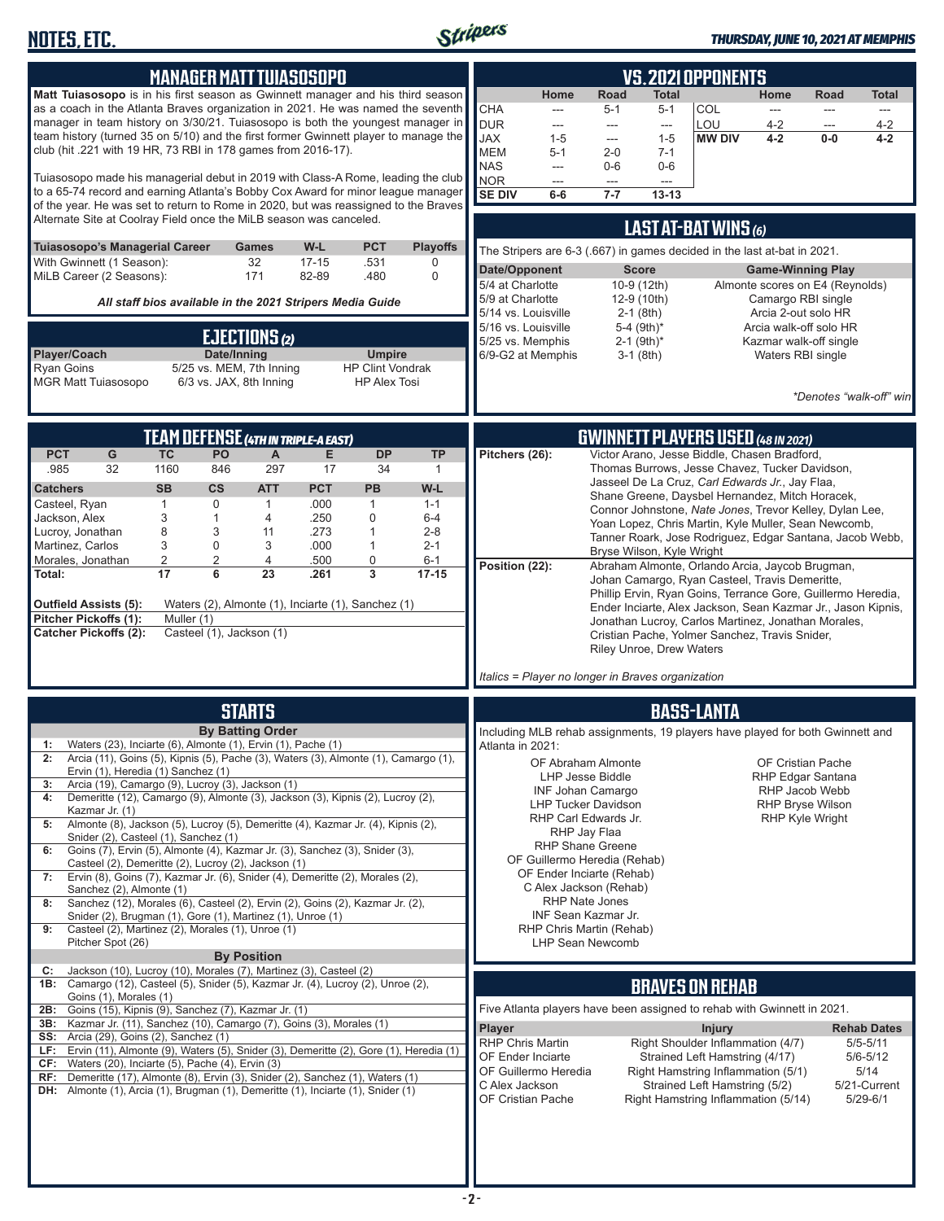

| <b>MANAGER MATT TUIASOSOPO</b><br>Matt Tuiasosopo is in his first season as Gwinnett manager and his third season<br>as a coach in the Atlanta Braves organization in 2021. He was named the seventh<br>manager in team history on 3/30/21. Tuiasosopo is both the youngest manager in<br>team history (turned 35 on 5/10) and the first former Gwinnett player to manage the<br>club (hit .221 with 19 HR, 73 RBI in 178 games from 2016-17).<br>Tuiasosopo made his managerial debut in 2019 with Class-A Rome, leading the club<br>to a 65-74 record and earning Atlanta's Bobby Cox Award for minor league manager<br>of the year. He was set to return to Rome in 2020, but was reassigned to the Braves<br>Alternate Site at Coolray Field once the MiLB season was canceled.<br><b>PCT</b><br>Tuiasosopo's Managerial Career<br>W-L<br><b>Playoffs</b><br><b>Games</b><br>32<br>With Gwinnett (1 Season):<br>$17 - 15$<br>.531<br>0<br>MiLB Career (2 Seasons):<br>171<br>82-89<br>.480<br>0                                                                                                                                         | <b>VS. 2021 OPPONENTS</b><br><b>Road</b><br>Home<br>Total<br>Home<br>Road<br>Total<br><b>CHA</b><br>COL<br>$5 - 1$<br>$5 - 1$<br>$---$<br>$\frac{1}{2}$<br>$---$<br>$---$<br><b>DUR</b><br>LOU<br>$4 - 2$<br>$4 - 2$<br>---<br>$\overline{\phantom{a}}$<br>---<br>---<br><b>JAX</b><br><b>MW DIV</b><br>$1 - 5$<br>$4 - 2$<br>$0-0$<br>$4 - 2$<br>$1 - 5$<br>---<br><b>MEM</b><br>$2 - 0$<br>$5 - 1$<br>$7 - 1$<br><b>NAS</b><br>$0-6$<br>$0-6$<br>---<br><b>NOR</b><br>$\overline{a}$<br>$\overline{a}$<br>$\overline{a}$<br><b>SE DIV</b><br>$7 - 7$<br>$13 - 13$<br>6-6<br>LAST AT-BAT WINS (6)<br>The Stripers are 6-3 (.667) in games decided in the last at-bat in 2021.<br>Date/Opponent<br><b>Score</b><br><b>Game-Winning Play</b>                                                                                                                                                                                             |
|---------------------------------------------------------------------------------------------------------------------------------------------------------------------------------------------------------------------------------------------------------------------------------------------------------------------------------------------------------------------------------------------------------------------------------------------------------------------------------------------------------------------------------------------------------------------------------------------------------------------------------------------------------------------------------------------------------------------------------------------------------------------------------------------------------------------------------------------------------------------------------------------------------------------------------------------------------------------------------------------------------------------------------------------------------------------------------------------------------------------------------------------|-----------------------------------------------------------------------------------------------------------------------------------------------------------------------------------------------------------------------------------------------------------------------------------------------------------------------------------------------------------------------------------------------------------------------------------------------------------------------------------------------------------------------------------------------------------------------------------------------------------------------------------------------------------------------------------------------------------------------------------------------------------------------------------------------------------------------------------------------------------------------------------------------------------------------------------------|
| All staff bios available in the 2021 Stripers Media Guide<br>EJECTIONS (2)<br>Player/Coach<br>Date/Inning<br><b>Umpire</b><br><b>HP Clint Vondrak</b><br><b>Ryan Goins</b><br>5/25 vs. MEM, 7th Inning<br><b>MGR Matt Tuiasosopo</b><br>6/3 vs. JAX, 8th Inning<br><b>HP Alex Tosi</b>                                                                                                                                                                                                                                                                                                                                                                                                                                                                                                                                                                                                                                                                                                                                                                                                                                                      | 5/4 at Charlotte<br>10-9 (12th)<br>Almonte scores on E4 (Reynolds)<br>5/9 at Charlotte<br>Camargo RBI single<br>12-9 (10th)<br>5/14 vs. Louisville<br>Arcia 2-out solo HR<br>$2-1$ (8th)<br>5/16 vs. Louisville<br>5-4 (9th)*<br>Arcia walk-off solo HR<br>5/25 vs. Memphis<br>$2-1$ (9th) <sup>*</sup><br>Kazmar walk-off single<br>6/9-G2 at Memphis<br>$3-1$ (8th)<br>Waters RBI single<br>*Denotes "walk-off" win                                                                                                                                                                                                                                                                                                                                                                                                                                                                                                                   |
| <b>TEAM DEFENSE (4TH IN TRIPLE-A EAST)</b><br><b>PCT</b><br>G<br><b>TC</b><br>PO<br><b>DP</b><br><b>TP</b><br>A<br>Е<br>32<br>297<br>.985<br>1160<br>846<br>17<br>34<br>$\mathbf{1}$<br><b>SB</b><br>$\mathsf{cs}$<br><b>ATT</b><br><b>PCT</b><br><b>PB</b><br>W-L<br><b>Catchers</b><br>$\mathbf{1}$<br>$\mathbf 0$<br>.000<br>Casteel, Ryan<br>$\mathbf{1}$<br>$\mathbf{1}$<br>$1 - 1$<br>3<br>$\mathbf{1}$<br>.250<br>0<br>Jackson, Alex<br>4<br>$6 - 4$<br>8<br>3<br>.273<br>$\mathbf{1}$<br>$2 - 8$<br>Lucroy, Jonathan<br>11<br>3<br>Martinez, Carlos<br>$\mathbf 0$<br>3<br>.000<br>1<br>$2 - 1$<br>$\overline{2}$<br>$\overline{2}$<br>4<br>0<br>Morales, Jonathan<br>.500<br>$6 - 1$<br>17<br>6<br>23<br>3<br>Total:<br>.261<br>$17 - 15$<br>Outfield Assists (5):<br>Waters (2), Almonte (1), Inciarte (1), Sanchez (1)<br>Pitcher Pickoffs (1):<br>Muller (1)<br><b>Catcher Pickoffs (2):</b><br>Casteel (1), Jackson (1)                                                                                                                                                                                                        | <b>GWINNETT PLAYERS USED (48 IN 2021)</b><br>Victor Arano, Jesse Biddle, Chasen Bradford,<br>Pitchers (26):<br>Thomas Burrows, Jesse Chavez, Tucker Davidson,<br>Jasseel De La Cruz, Carl Edwards Jr., Jay Flaa,<br>Shane Greene, Daysbel Hernandez, Mitch Horacek,<br>Connor Johnstone, Nate Jones, Trevor Kelley, Dylan Lee,<br>Yoan Lopez, Chris Martin, Kyle Muller, Sean Newcomb,<br>Tanner Roark, Jose Rodriguez, Edgar Santana, Jacob Webb,<br>Bryse Wilson, Kyle Wright<br>Position (22):<br>Abraham Almonte, Orlando Arcia, Jaycob Brugman,<br>Johan Camargo, Ryan Casteel, Travis Demeritte,<br>Phillip Ervin, Ryan Goins, Terrance Gore, Guillermo Heredia,<br>Ender Inciarte, Alex Jackson, Sean Kazmar Jr., Jason Kipnis,<br>Jonathan Lucroy, Carlos Martinez, Jonathan Morales,<br>Cristian Pache, Yolmer Sanchez, Travis Snider,<br><b>Riley Unroe, Drew Waters</b><br>Italics = Player no longer in Braves organization |
| <b>STARTS</b>                                                                                                                                                                                                                                                                                                                                                                                                                                                                                                                                                                                                                                                                                                                                                                                                                                                                                                                                                                                                                                                                                                                               | <b>BASS-LANTA</b>                                                                                                                                                                                                                                                                                                                                                                                                                                                                                                                                                                                                                                                                                                                                                                                                                                                                                                                       |
| <b>By Batting Order</b><br>Waters (23), Inciarte (6), Almonte (1), Ervin (1), Pache (1)<br>1:<br>Arcia (11), Goins (5), Kipnis (5), Pache (3), Waters (3), Almonte (1), Camargo (1),<br>2:<br>Ervin (1), Heredia (1) Sanchez (1)<br>Arcia (19), Camargo (9), Lucroy (3), Jackson (1)<br>3:<br>Demeritte (12), Camargo (9), Almonte (3), Jackson (3), Kipnis (2), Lucroy (2),<br>4:<br>Kazmar Jr. (1)<br>Almonte (8), Jackson (5), Lucroy (5), Demeritte (4), Kazmar Jr. (4), Kipnis (2),<br>5:<br>Snider (2), Casteel (1), Sanchez (1)<br>Goins (7), Ervin (5), Almonte (4), Kazmar Jr. (3), Sanchez (3), Snider (3),<br>6:<br>Casteel (2), Demeritte (2), Lucroy (2), Jackson (1)<br>Ervin (8), Goins (7), Kazmar Jr. (6), Snider (4), Demeritte (2), Morales (2),<br>7:<br>Sanchez (2), Almonte (1)<br>Sanchez (12), Morales (6), Casteel (2), Ervin (2), Goins (2), Kazmar Jr. (2),<br>8:<br>Snider (2), Brugman (1), Gore (1), Martinez (1), Unroe (1)<br>Casteel (2), Martinez (2), Morales (1), Unroe (1)<br>9:<br>Pitcher Spot (26)<br><b>By Position</b><br>Jackson (10), Lucroy (10), Morales (7), Martinez (3), Casteel (2)<br>C: | Including MLB rehab assignments, 19 players have played for both Gwinnett and<br>Atlanta in 2021:<br>OF Abraham Almonte<br>OF Cristian Pache<br>LHP Jesse Biddle<br>RHP Edgar Santana<br>RHP Jacob Webb<br>INF Johan Camargo<br><b>RHP Bryse Wilson</b><br><b>LHP Tucker Davidson</b><br><b>RHP Kyle Wright</b><br>RHP Carl Edwards Jr.<br>RHP Jay Flaa<br>RHP Shane Greene<br>OF Guillermo Heredia (Rehab)<br>OF Ender Inciarte (Rehab)<br>C Alex Jackson (Rehab)<br>RHP Nate Jones<br>INF Sean Kazmar Jr.<br>RHP Chris Martin (Rehab)<br><b>LHP Sean Newcomb</b>                                                                                                                                                                                                                                                                                                                                                                      |
| <b>1B:</b> Camargo (12), Casteel (5), Snider (5), Kazmar Jr. (4), Lucroy (2), Unroe (2),<br>Goins (1), Morales (1)                                                                                                                                                                                                                                                                                                                                                                                                                                                                                                                                                                                                                                                                                                                                                                                                                                                                                                                                                                                                                          | <b>BRAVES ON REHAB</b>                                                                                                                                                                                                                                                                                                                                                                                                                                                                                                                                                                                                                                                                                                                                                                                                                                                                                                                  |
| 2B: Goins (15), Kipnis (9), Sanchez (7), Kazmar Jr. (1)<br>3B: Kazmar Jr. (11), Sanchez (10), Camargo (7), Goins (3), Morales (1)<br><b>SS:</b> Arcia (29), Goins (2), Sanchez (1)<br>LF: Ervin (11), Almonte (9), Waters (5), Snider (3), Demeritte (2), Gore (1), Heredia (1)<br>$CF:$ Waters (20), Inciarte (5), Pache (4), Ervin (3)<br>RF: Demeritte (17), Almonte (8), Ervin (3), Snider (2), Sanchez (1), Waters (1)<br><b>DH:</b> Almonte (1), Arcia (1), Brugman (1), Demeritte (1), Inciarte (1), Snider (1)                                                                                                                                                                                                                                                                                                                                                                                                                                                                                                                                                                                                                      | Five Atlanta players have been assigned to rehab with Gwinnett in 2021.<br><b>Player</b><br><b>Injury</b><br><b>Rehab Dates</b><br>Right Shoulder Inflammation (4/7)<br>RHP Chris Martin<br>$5/5 - 5/11$<br>OF Ender Inciarte<br>Strained Left Hamstring (4/17)<br>$5/6 - 5/12$<br>OF Guillermo Heredia<br>Right Hamstring Inflammation (5/1)<br>5/14<br>C Alex Jackson<br>Strained Left Hamstring (5/2)<br>5/21-Current<br>OF Cristian Pache<br>Right Hamstring Inflammation (5/14)<br>$5/29 - 6/1$                                                                                                                                                                                                                                                                                                                                                                                                                                    |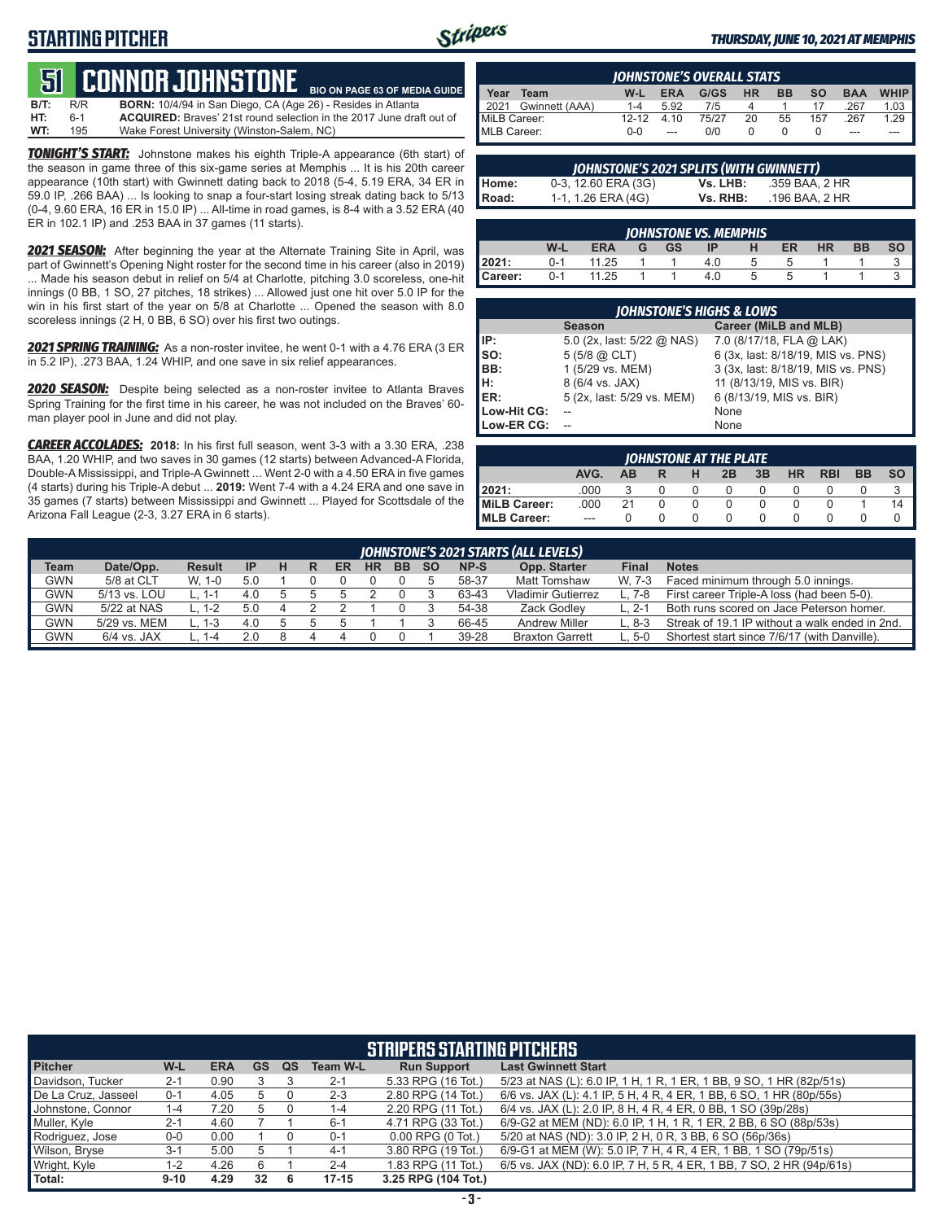# **STARTING PITCHER**



**BIO ON PAGE 63 OF MEDIA GUIDE**

#### *THURSDAY, JUNE 10, 2021 AT MEMPHIS*

# **51****CONNOR JOHNSTONE**

**B/T:** R/R **BORN:** 10/4/94 in San Diego, CA (Age 26) - Resides in Atlanta ACQUIRED: Braves' 21st round selection in the 2017 June draft out of **WT:** 195 Wake Forest University (Winston-Salem, NC)

*TONIGHT'S START:* Johnstone makes his eighth Triple-A appearance (6th start) of the season in game three of this six-game series at Memphis ... It is his 20th career appearance (10th start) with Gwinnett dating back to 2018 (5-4, 5.19 ERA, 34 ER in 59.0 IP, .266 BAA) ... Is looking to snap a four-start losing streak dating back to 5/13 (0-4, 9.60 ERA, 16 ER in 15.0 IP) ... All-time in road games, is 8-4 with a 3.52 ERA (40 ER in 102.1 IP) and .253 BAA in 37 games (11 starts).

*2021 SEASON:* After beginning the year at the Alternate Training Site in April, was part of Gwinnett's Opening Night roster for the second time in his career (also in 2019) ... Made his season debut in relief on 5/4 at Charlotte, pitching 3.0 scoreless, one-hit innings (0 BB, 1 SO, 27 pitches, 18 strikes) ... Allowed just one hit over 5.0 IP for the win in his first start of the year on 5/8 at Charlotte ... Opened the season with 8.0 scoreless innings (2 H, 0 BB, 6 SO) over his first two outings.

*2021 SPRING TRAINING:* As a non-roster invitee, he went 0-1 with a 4.76 ERA (3 ER in 5.2 IP), .273 BAA, 1.24 WHIP, and one save in six relief appearances.

*2020 SEASON:* Despite being selected as a non-roster invitee to Atlanta Braves Spring Training for the first time in his career, he was not included on the Braves' 60 man player pool in June and did not play.

*CAREER ACCOLADES:* **2018:** In his first full season, went 3-3 with a 3.30 ERA, .238 BAA, 1.20 WHIP, and two saves in 30 games (12 starts) between Advanced-A Florida, Double-A Mississippi, and Triple-A Gwinnett ... Went 2-0 with a 4.50 ERA in five games (4 starts) during his Triple-A debut ... **2019:** Went 7-4 with a 4.24 ERA and one save in 35 games (7 starts) between Mississippi and Gwinnett ... Played for Scottsdale of the Arizona Fall League (2-3, 3.27 ERA in 6 starts).

| <b>IOHNSTONE'S OVERALL STATS</b> |                     |           |            |       |           |           |           |            |        |
|----------------------------------|---------------------|-----------|------------|-------|-----------|-----------|-----------|------------|--------|
| Year                             | Team                | W-L       | <b>ERA</b> | G/GS  | <b>HR</b> | <b>BB</b> | <b>SO</b> | <b>BAA</b> | WHIP I |
|                                  | 2021 Gwinnett (AAA) | 1-4       | 5.92       | 7/5   | Δ         |           |           | 267        | 1.03   |
| MiLB Career:                     |                     | $12 - 12$ | 4 1 0      | 75/27 | 20        | 55        | 157       | 267        | 1.29   |
| MLB Career:                      |                     | $0 - 0$   | $---$      | 0/0   |           |           |           | ---        | ---    |

|              | JOHNSTONE'S 2021 SPLITS (WITH GWINNETT) |          |                |
|--------------|-----------------------------------------|----------|----------------|
| Home:        | 0-3, 12.60 ERA (3G)                     | Vs. LHB: | .359 BAA. 2 HR |
| <b>Road:</b> | 1-1, 1.26 ERA (4G)                      | Vs. RHB: | .196 BAA. 2 HR |

| JOHNSTONE VS. MEMPHIS |         |            |   |           |     |              |    |    |    |    |
|-----------------------|---------|------------|---|-----------|-----|--------------|----|----|----|----|
|                       | W-L     | <b>ERA</b> | G | <b>GS</b> |     | н            | ER | HR | BB | SΟ |
| 2021:                 | $0 - 1$ | 11.25      |   |           | 4.0 | b            |    |    |    |    |
| Career:               | $0 - 1$ | 11.25      |   |           | 4.0 | <sub>5</sub> |    |    |    |    |

| <b>JOHNSTONE'S HIGHS &amp; LOWS</b> |                            |                                    |  |  |  |  |  |  |  |
|-------------------------------------|----------------------------|------------------------------------|--|--|--|--|--|--|--|
|                                     | <b>Season</b>              | Career (MiLB and MLB)              |  |  |  |  |  |  |  |
| IP:                                 | 5.0 (2x, last: 5/22 @ NAS) | 7.0 (8/17/18, FLA @ LAK)           |  |  |  |  |  |  |  |
| Iso:                                | $5(5/8)$ $\omega$ CLT)     | 6 (3x, last: 8/18/19, MIS vs. PNS) |  |  |  |  |  |  |  |
| BB:                                 | 1 (5/29 vs. MEM)           | 3 (3x, last: 8/18/19, MIS vs. PNS) |  |  |  |  |  |  |  |
| lн:                                 | 8 (6/4 vs. JAX)            | 11 (8/13/19, MIS vs. BIR)          |  |  |  |  |  |  |  |
| <b>IER:</b>                         | 5 (2x, last: 5/29 vs. MEM) | 6 (8/13/19, MIS vs. BIR)           |  |  |  |  |  |  |  |
| Low-Hit CG:                         |                            | None                               |  |  |  |  |  |  |  |
| Low-ER CG:                          |                            | None                               |  |  |  |  |  |  |  |

| JOHNSTONE AT THE PLATE |      |    |  |          |              |    |           |            |           |           |  |  |
|------------------------|------|----|--|----------|--------------|----|-----------|------------|-----------|-----------|--|--|
|                        | AVG. | ΔR |  | н        | 2B           | 3B | <b>HR</b> | <b>RBI</b> | <b>BB</b> | <b>SO</b> |  |  |
| 2021:                  | .000 |    |  |          | $\mathbf{O}$ |    |           |            |           |           |  |  |
| MiLB Career:           | .000 | 21 |  |          |              |    |           |            |           | 14        |  |  |
| <b>IMLB Career:</b>    | $-$  |    |  | $\Omega$ |              |    |           |            |           |           |  |  |

|            | <b>JOHNSTONE'S 2021 STARTS (ALL LEVELS)</b> |               |           |               |  |    |           |           |           |       |                           |              |                                                |
|------------|---------------------------------------------|---------------|-----------|---------------|--|----|-----------|-----------|-----------|-------|---------------------------|--------------|------------------------------------------------|
| Team       | Date/Opp.                                   | <b>Result</b> | <b>IP</b> | н             |  | ER | <b>HR</b> | <b>BB</b> | <b>SO</b> | NP-S  | Opp. Starter              | <b>Final</b> | <b>Notes</b>                                   |
| <b>GWN</b> | 5/8 at CLT                                  | W. 1-0        | 5.0       |               |  |    |           |           |           | 58-37 | <b>Matt Tomshaw</b>       | W. 7-3       | Faced minimum through 5.0 innings.             |
| <b>GWN</b> | 5/13 vs. LOU                                | 1-1           | 4.0       |               |  |    |           |           |           | 63-43 | <b>Vladimir Gutierrez</b> |              | First career Triple-A loss (had been 5-0).     |
| GWN        | 5/22 at NAS                                 | L. 1-2        | 5.0       |               |  |    |           |           |           | 54-38 | Zack Godlev               | ∟. 2-1       | Both runs scored on Jace Peterson homer.       |
| GWN        | 5/29 vs. MEM                                | L. 1-3        | 4.0       | $\mathcal{D}$ |  |    |           |           |           | 66-45 | <b>Andrew Miller</b>      | L. 8-3       | Streak of 19.1 IP without a walk ended in 2nd. |
| GWN        | $6/4$ vs. JAX                               | - 1-4         | 20        |               |  |    |           |           |           | 39-28 | <b>Braxton Garrett</b>    | 5-0          | Shortest start since 7/6/17 (with Danville).   |

| <b>STRIPERS STARTING PITCHERS</b> |          |            |           |    |                 |                       |                                                                      |  |  |  |  |
|-----------------------------------|----------|------------|-----------|----|-----------------|-----------------------|----------------------------------------------------------------------|--|--|--|--|
| <b>Pitcher</b>                    | W-L      | <b>ERA</b> | <b>GS</b> | QS | <b>Team W-L</b> | <b>Run Support</b>    | <b>Last Gwinnett Start</b>                                           |  |  |  |  |
| Davidson, Tucker                  | $2 - 1$  | 0.90       |           |    | $2 - 1$         | 5.33 RPG (16 Tot.)    | 5/23 at NAS (L): 6.0 IP, 1 H, 1 R, 1 ER, 1 BB, 9 SO, 1 HR (82p/51s)  |  |  |  |  |
| De La Cruz, Jasseel               | $0 - 1$  | 4.05       | 5         |    | $2 - 3$         | 2.80 RPG (14 Tot.)    | 6/6 vs. JAX (L): 4.1 IP, 5 H, 4 R, 4 ER, 1 BB, 6 SO, 1 HR (80p/55s)  |  |  |  |  |
| Johnstone, Connor                 | 1-4      | 7.20       | 5         |    | 1-4             | 2.20 RPG (11 Tot.)    | 6/4 vs. JAX (L): 2.0 IP, 8 H, 4 R, 4 ER, 0 BB, 1 SO (39p/28s)        |  |  |  |  |
| Muller, Kyle                      | $2 - 1$  | 4.60       |           |    | $6 - 1$         | 4.71 RPG (33 Tot.)    | 6/9-G2 at MEM (ND): 6.0 IP, 1 H, 1 R, 1 ER, 2 BB, 6 SO (88p/53s)     |  |  |  |  |
| Rodriguez, Jose                   | $0-0$    | 0.00       |           |    | $0 - 1$         | $0.00$ RPG $(0$ Tot.) | 5/20 at NAS (ND): 3.0 IP, 2 H, 0 R, 3 BB, 6 SO (56p/36s)             |  |  |  |  |
| Wilson, Bryse                     | $3 - 1$  | 5.00       |           |    | $4 - 1$         | 3.80 RPG (19 Tot.)    | 6/9-G1 at MEM (W): 5.0 IP, 7 H, 4 R, 4 ER, 1 BB, 1 SO (79p/51s)      |  |  |  |  |
| Wright, Kyle                      | $1 - 2$  | 4.26       | 6         |    | $2 - 4$         | 1.83 RPG (11 Tot.)    | 6/5 vs. JAX (ND): 6.0 IP, 7 H, 5 R, 4 ER, 1 BB, 7 SO, 2 HR (94p/61s) |  |  |  |  |
| <b>Total:</b>                     | $9 - 10$ | 4.29       | 32        | 6  | $17 - 15$       | 3.25 RPG (104 Tot.)   |                                                                      |  |  |  |  |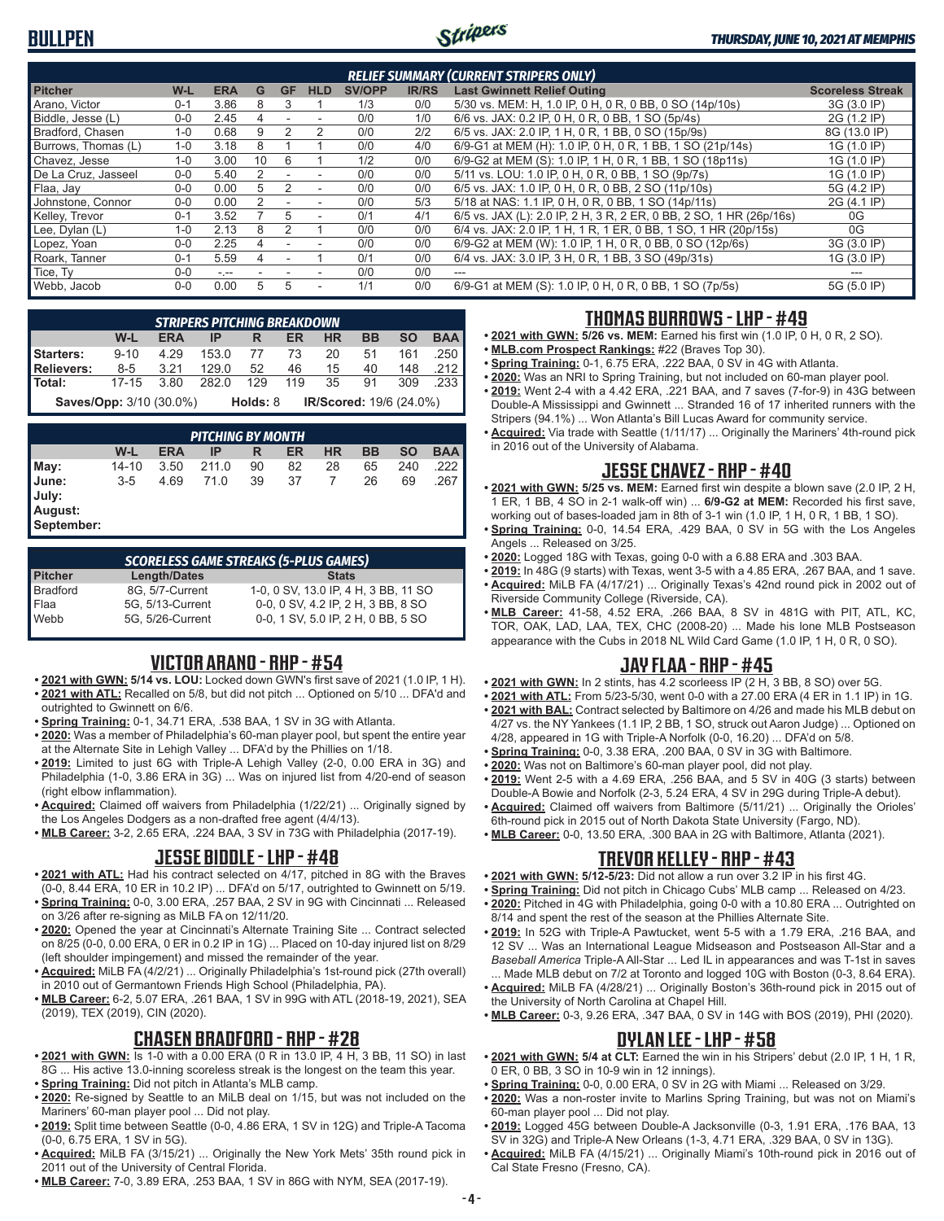# **BULLPEN**



#### *THURSDAY, JUNE 10, 2021 AT MEMPHIS*

| <b>RELIEF SUMMARY (CURRENT STRIPERS ONLY)</b> |         |            |    |           |            |               |              |                                                                     |                         |  |  |
|-----------------------------------------------|---------|------------|----|-----------|------------|---------------|--------------|---------------------------------------------------------------------|-------------------------|--|--|
| <b>Pitcher</b>                                | W-L     | <b>ERA</b> | G  | <b>GF</b> | <b>HLD</b> | <b>SV/OPP</b> | <b>IR/RS</b> | <b>Last Gwinnett Relief Outing</b>                                  | <b>Scoreless Streak</b> |  |  |
| Arano, Victor                                 | $0 - 1$ | 3.86       |    | З         |            | 1/3           | 0/0          | 5/30 vs. MEM: H, 1.0 IP, 0 H, 0 R, 0 BB, 0 SO (14p/10s)             | 3G (3.0 IP)             |  |  |
| Biddle, Jesse (L)                             | $0 - 0$ | 2.45       |    |           |            | 0/0           | 1/0          | 6/6 vs. JAX: 0.2 IP, 0 H, 0 R, 0 BB, 1 SO (5p/4s)                   | 2G (1.2 IP)             |  |  |
| Bradford, Chasen                              | $1 - 0$ | 0.68       |    |           |            | 0/0           | 2/2          | 6/5 vs. JAX: 2.0 IP, 1 H, 0 R, 1 BB, 0 SO (15p/9s)                  | 8G (13.0 IP)            |  |  |
| Burrows, Thomas (L)                           | $1 - 0$ | 3.18       |    |           |            | 0/0           | 4/0          | 6/9-G1 at MEM (H): 1.0 IP, 0 H, 0 R, 1 BB, 1 SO (21p/14s)           | 1G (1.0 IP)             |  |  |
| Chavez, Jesse                                 | $1 - 0$ | 3.00       | 10 | 6         |            | 1/2           | 0/0          | 6/9-G2 at MEM (S): 1.0 IP, 1 H, 0 R, 1 BB, 1 SO (18p11s)            | 1G (1.0 IP)             |  |  |
| De La Cruz, Jasseel                           | $0 - 0$ | 5.40       | 2  |           |            | 0/0           | 0/0          | 5/11 vs. LOU: 1.0 IP, 0 H, 0 R, 0 BB, 1 SO (9p/7s)                  | 1G (1.0 IP)             |  |  |
| Flaa, Jay                                     | $0 - 0$ | 0.00       | 5  |           | ٠          | 0/0           | 0/0          | 6/5 vs. JAX: 1.0 IP, 0 H, 0 R, 0 BB, 2 SO (11p/10s)                 | 5G (4.2 IP)             |  |  |
| Johnstone, Connor                             | $0-0$   | 0.00       |    |           |            | 0/0           | 5/3          | 5/18 at NAS: 1.1 IP, 0 H, 0 R, 0 BB, 1 SO (14p/11s)                 | 2G (4.1 IP)             |  |  |
| Kelley, Trevor                                | $0 - 1$ | 3.52       |    | 5         |            | 0/1           | 4/1          | 6/5 vs. JAX (L): 2.0 IP, 2 H, 3 R, 2 ER, 0 BB, 2 SO, 1 HR (26p/16s) | 0G                      |  |  |
| Lee, Dylan (L)                                | $1 - 0$ | 2.13       |    |           |            | 0/0           | 0/0          | 6/4 vs. JAX: 2.0 IP, 1 H, 1 R, 1 ER, 0 BB, 1 SO, 1 HR (20p/15s)     | 0G                      |  |  |
| Lopez, Yoan                                   | $0 - 0$ | 2.25       | 4  |           |            | 0/0           | 0/0          | 6/9-G2 at MEM (W): 1.0 IP, 1 H, 0 R, 0 BB, 0 SO (12p/6s)            | 3G (3.0 IP)             |  |  |
| Roark, Tanner                                 | $0 - 1$ | 5.59       |    |           |            | 0/1           | 0/0          | 6/4 vs. JAX: 3.0 IP, 3 H, 0 R, 1 BB, 3 SO (49p/31s)                 | 1G (3.0 IP)             |  |  |
| Tice, Ty                                      | $0 - 0$ | $-1 -$     |    |           |            | 0/0           | 0/0          | ---                                                                 |                         |  |  |
| Webb, Jacob                                   | $0-0$   | 0.00       | 5  | 5         |            | 1/1           | 0/0          | 6/9-G1 at MEM (S): 1.0 IP, 0 H, 0 R, 0 BB, 1 SO (7p/5s)             | 5G (5.0 IP)             |  |  |

|                                | <b>STRIPERS PITCHING BREAKDOWN</b> |            |       |          |           |           |    |                         |            |  |  |  |  |
|--------------------------------|------------------------------------|------------|-------|----------|-----------|-----------|----|-------------------------|------------|--|--|--|--|
|                                | W-L                                | <b>ERA</b> | IP    | R        | <b>ER</b> | <b>HR</b> | BB | <b>SO</b>               | <b>BAA</b> |  |  |  |  |
| Starters:                      | $9 - 10$                           | 4.29       | 153.0 | 77       | 73        | 20        | 51 | 161                     | .250       |  |  |  |  |
| <b>Relievers:</b>              | 8-5                                | 3.21       | 129.0 | 52       | 46        | 15        | 40 | 148                     | .212       |  |  |  |  |
| Total:                         | $17 - 15$                          | 3.80       | 282 O | 129      | 119       | 35        | 91 | 309                     | .233       |  |  |  |  |
| <b>Saves/Opp:</b> 3/10 (30.0%) |                                    |            |       | Holds: 8 |           |           |    | IR/Scored: 19/6 (24.0%) |            |  |  |  |  |

*PITCHING BY MONTH* **W-L ERA IP R ER HR BB SO BAA May:** 14-10 3.50 211.0 90 82 28 65 240 .222 **June:** 3-5 4.69 71.0 39 37 7 26 69 .267 **July: August: September:**

*SCORELESS GAME STREAKS (5-PLUS GAMES)* **Pitcher Length/Dates Stats**<br>Bradford 8G. 5/7-Current 1-0. 0 SV. 13.0 IP. 4 8G, 5/7-Current 1-0, 0 SV, 13.0 IP, 4 H, 3 BB, 11 SO Flaa 5G, 5/13-Current 0-0, 0 SV, 4.2 IP, 2 H, 3 BB, 8 SO Webb 5G, 5/26-Current 0-0, 1 SV, 5.0 IP, 2 H, 0 BB, 5 SO

# **VICTOR ARANO - RHP - #54**

- **• 2021 with GWN: 5/14 vs. LOU:** Locked down GWN's first save of 2021 (1.0 IP, 1 H). **• 2021 with ATL:** Recalled on 5/8, but did not pitch ... Optioned on 5/10 ... DFA'd and
- outrighted to Gwinnett on 6/6.
- **• Spring Training:** 0-1, 34.71 ERA, .538 BAA, 1 SV in 3G with Atlanta.
- **• 2020:** Was a member of Philadelphia's 60-man player pool, but spent the entire year at the Alternate Site in Lehigh Valley ... DFA'd by the Phillies on 1/18.
- **• 2019:** Limited to just 6G with Triple-A Lehigh Valley (2-0, 0.00 ERA in 3G) and Philadelphia (1-0, 3.86 ERA in 3G) ... Was on injured list from 4/20-end of season (right elbow inflammation).
- **• Acquired:** Claimed off waivers from Philadelphia (1/22/21) ... Originally signed by the Los Angeles Dodgers as a non-drafted free agent (4/4/13).
- **• MLB Career:** 3-2, 2.65 ERA, .224 BAA, 3 SV in 73G with Philadelphia (2017-19).

#### **JESSE BIDDLE - LHP - #48**

- **• 2021 with ATL:** Had his contract selected on 4/17, pitched in 8G with the Braves (0-0, 8.44 ERA, 10 ER in 10.2 IP) ... DFA'd on 5/17, outrighted to Gwinnett on 5/19.
- **• Spring Training:** 0-0, 3.00 ERA, .257 BAA, 2 SV in 9G with Cincinnati ... Released on 3/26 after re-signing as MiLB FA on 12/11/20.
- **• 2020:** Opened the year at Cincinnati's Alternate Training Site ... Contract selected on 8/25 (0-0, 0.00 ERA, 0 ER in 0.2 IP in 1G) ... Placed on 10-day injured list on 8/29 (left shoulder impingement) and missed the remainder of the year.
- **• Acquired:** MiLB FA (4/2/21) ... Originally Philadelphia's 1st-round pick (27th overall) in 2010 out of Germantown Friends High School (Philadelphia, PA).
- **• MLB Career:** 6-2, 5.07 ERA, .261 BAA, 1 SV in 99G with ATL (2018-19, 2021), SEA (2019), TEX (2019), CIN (2020).

#### **CHASEN BRADFORD - RHP - #28**

- **• 2021 with GWN:** Is 1-0 with a 0.00 ERA (0 R in 13.0 IP, 4 H, 3 BB, 11 SO) in last 8G ... His active 13.0-inning scoreless streak is the longest on the team this year.
- **• Spring Training:** Did not pitch in Atlanta's MLB camp.
- **• 2020:** Re-signed by Seattle to an MiLB deal on 1/15, but was not included on the Mariners' 60-man player pool ... Did not play.
- **• 2019:** Split time between Seattle (0-0, 4.86 ERA, 1 SV in 12G) and Triple-A Tacoma (0-0, 6.75 ERA, 1 SV in 5G).
- **• Acquired:** MiLB FA (3/15/21) ... Originally the New York Mets' 35th round pick in 2011 out of the University of Central Florida.
- **• MLB Career:** 7-0, 3.89 ERA, .253 BAA, 1 SV in 86G with NYM, SEA (2017-19).

# **THOMAS BURROWS - LHP - #49**

- **• 2021 with GWN: 5/26 vs. MEM:** Earned his first win (1.0 IP, 0 H, 0 R, 2 SO).
- **• MLB.com Prospect Rankings:** #22 (Braves Top 30).
- **• Spring Training:** 0-1, 6.75 ERA, .222 BAA, 0 SV in 4G with Atlanta.
- **• 2020:** Was an NRI to Spring Training, but not included on 60-man player pool. **• 2019:** Went 2-4 with a 4.42 ERA, .221 BAA, and 7 saves (7-for-9) in 43G between Double-A Mississippi and Gwinnett ... Stranded 16 of 17 inherited runners with the
- Stripers (94.1%) ... Won Atlanta's Bill Lucas Award for community service.
- **• Acquired:** Via trade with Seattle (1/11/17) ... Originally the Mariners' 4th-round pick in 2016 out of the University of Alabama.

# **JESSE CHAVEZ - RHP - #40**

- **• 2021 with GWN: 5/25 vs. MEM:** Earned first win despite a blown save (2.0 IP, 2 H, 1 ER, 1 BB, 4 SO in 2-1 walk-off win) ... **6/9-G2 at MEM:** Recorded his first save, working out of bases-loaded jam in 8th of 3-1 win (1.0 IP, 1 H, 0 R, 1 BB, 1 SO).
- **• Spring Training:** 0-0, 14.54 ERA, .429 BAA, 0 SV in 5G with the Los Angeles Angels ... Released on 3/25.
- **• 2020:** Logged 18G with Texas, going 0-0 with a 6.88 ERA and .303 BAA.
- **• 2019:** In 48G (9 starts) with Texas, went 3-5 with a 4.85 ERA, .267 BAA, and 1 save.
- **• Acquired:** MiLB FA (4/17/21) ... Originally Texas's 42nd round pick in 2002 out of Riverside Community College (Riverside, CA).
- **• MLB Career:** 41-58, 4.52 ERA, .266 BAA, 8 SV in 481G with PIT, ATL, KC, TOR, OAK, LAD, LAA, TEX, CHC (2008-20) ... Made his lone MLB Postseason appearance with the Cubs in 2018 NL Wild Card Game (1.0 IP, 1 H, 0 R, 0 SO).

# **JAY FLAA - RHP - #45**

- **• 2021 with GWN:** In 2 stints, has 4.2 scorleess IP (2 H, 3 BB, 8 SO) over 5G.
- **• 2021 with ATL:** From 5/23-5/30, went 0-0 with a 27.00 ERA (4 ER in 1.1 IP) in 1G. **• 2021 with BAL:** Contract selected by Baltimore on 4/26 and made his MLB debut on
- 4/27 vs. the NY Yankees (1.1 IP, 2 BB, 1 SO, struck out Aaron Judge) ... Optioned on 4/28, appeared in 1G with Triple-A Norfolk (0-0, 16.20) ... DFA'd on 5/8.
- **• Spring Training:** 0-0, 3.38 ERA, .200 BAA, 0 SV in 3G with Baltimore.
- **• 2020:** Was not on Baltimore's 60-man player pool, did not play.
- **• 2019:** Went 2-5 with a 4.69 ERA, .256 BAA, and 5 SV in 40G (3 starts) between Double-A Bowie and Norfolk (2-3, 5.24 ERA, 4 SV in 29G during Triple-A debut).
- **• Acquired:** Claimed off waivers from Baltimore (5/11/21) ... Originally the Orioles' 6th-round pick in 2015 out of North Dakota State University (Fargo, ND).
- **• MLB Career:** 0-0, 13.50 ERA, .300 BAA in 2G with Baltimore, Atlanta (2021).

# **TREVOR KELLEY - RHP - #43**

- **• 2021 with GWN: 5/12-5/23:** Did not allow a run over 3.2 IP in his first 4G.
- **• Spring Training:** Did not pitch in Chicago Cubs' MLB camp ... Released on 4/23.
- **• 2020:** Pitched in 4G with Philadelphia, going 0-0 with a 10.80 ERA ... Outrighted on 8/14 and spent the rest of the season at the Phillies Alternate Site.
- **• 2019:** In 52G with Triple-A Pawtucket, went 5-5 with a 1.79 ERA, .216 BAA, and 12 SV ... Was an International League Midseason and Postseason All-Star and a *Baseball America* Triple-A All-Star ... Led IL in appearances and was T-1st in saves Made MLB debut on 7/2 at Toronto and logged 10G with Boston (0-3, 8.64 ERA).
- **• Acquired:** MiLB FA (4/28/21) ... Originally Boston's 36th-round pick in 2015 out of the University of North Carolina at Chapel Hill.
- **• MLB Career:** 0-3, 9.26 ERA, .347 BAA, 0 SV in 14G with BOS (2019), PHI (2020).

#### **DYLAN LEE - LHP - #58**

- **• 2021 with GWN: 5/4 at CLT:** Earned the win in his Stripers' debut (2.0 IP, 1 H, 1 R, 0 ER, 0 BB, 3 SO in 10-9 win in 12 innings).
- **• Spring Training:** 0-0, 0.00 ERA, 0 SV in 2G with Miami ... Released on 3/29.
- **• 2020:** Was a non-roster invite to Marlins Spring Training, but was not on Miami's 60-man player pool ... Did not play.
- **• 2019:** Logged 45G between Double-A Jacksonville (0-3, 1.91 ERA, .176 BAA, 13 SV in 32G) and Triple-A New Orleans (1-3, 4.71 ERA, .329 BAA, 0 SV in 13G).
- **• Acquired:** MiLB FA (4/15/21) ... Originally Miami's 10th-round pick in 2016 out of Cal State Fresno (Fresno, CA).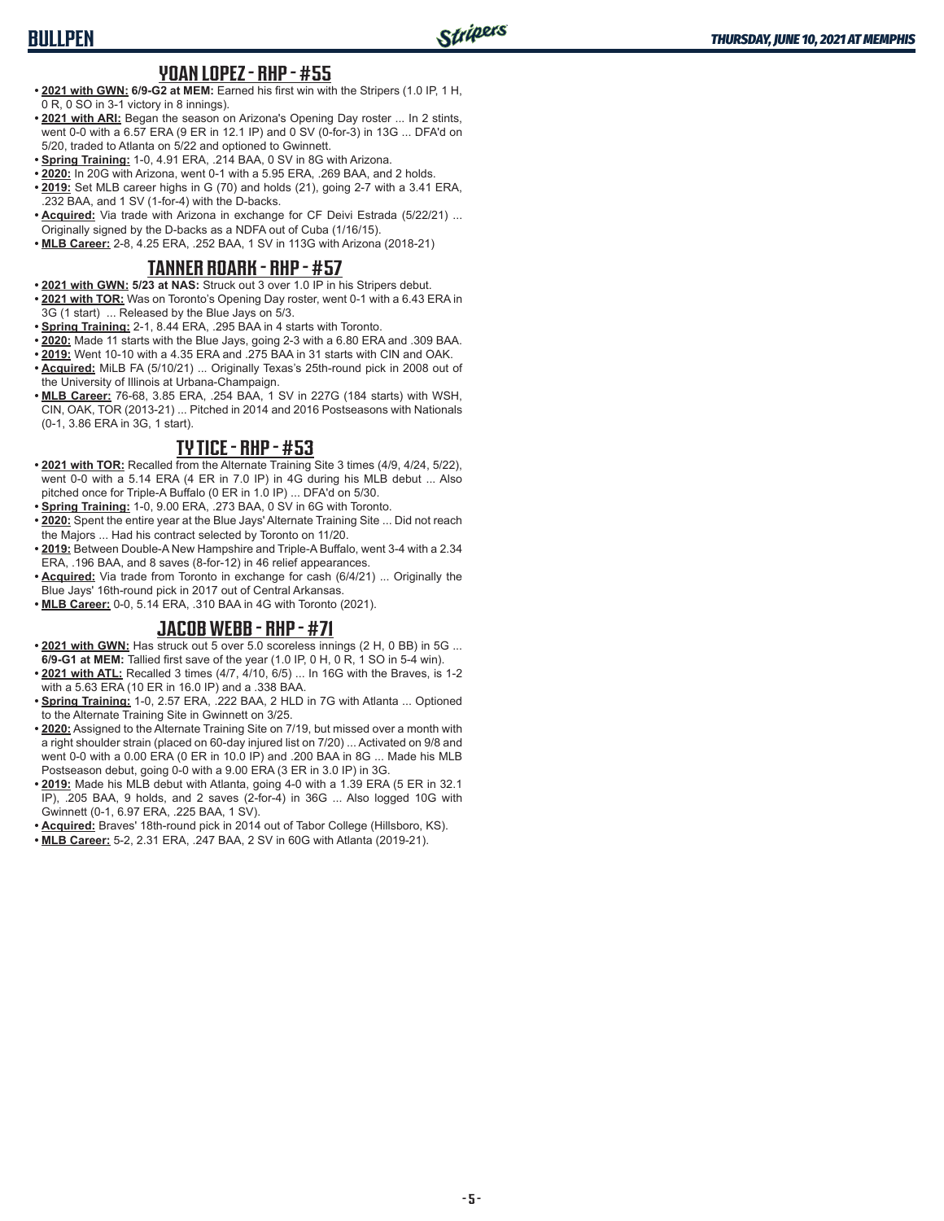## **YOAN LOPEZ - RHP - #55**

- **• 2021 with GWN: 6/9-G2 at MEM:** Earned his first win with the Stripers (1.0 IP, 1 H, 0 R, 0 SO in 3-1 victory in 8 innings).
- **• 2021 with ARI:** Began the season on Arizona's Opening Day roster ... In 2 stints, went 0-0 with a 6.57 ERA (9 ER in 12.1 IP) and 0 SV (0-for-3) in 13G ... DFA'd on 5/20, traded to Atlanta on 5/22 and optioned to Gwinnett.
- **• Spring Training:** 1-0, 4.91 ERA, .214 BAA, 0 SV in 8G with Arizona.
- **• 2020:** In 20G with Arizona, went 0-1 with a 5.95 ERA, .269 BAA, and 2 holds.
- **• 2019:** Set MLB career highs in G (70) and holds (21), going 2-7 with a 3.41 ERA, .232 BAA, and 1 SV (1-for-4) with the D-backs.
- **• Acquired:** Via trade with Arizona in exchange for CF Deivi Estrada (5/22/21) ... Originally signed by the D-backs as a NDFA out of Cuba (1/16/15).
- **• MLB Career:** 2-8, 4.25 ERA, .252 BAA, 1 SV in 113G with Arizona (2018-21)

## **TANNER ROARK - RHP - #57**

- **• 2021 with GWN: 5/23 at NAS:** Struck out 3 over 1.0 IP in his Stripers debut.
- **• 2021 with TOR:** Was on Toronto's Opening Day roster, went 0-1 with a 6.43 ERA in 3G (1 start) ... Released by the Blue Jays on 5/3.
- **• Spring Training:** 2-1, 8.44 ERA, .295 BAA in 4 starts with Toronto.
- **• 2020:** Made 11 starts with the Blue Jays, going 2-3 with a 6.80 ERA and .309 BAA.
- **• 2019:** Went 10-10 with a 4.35 ERA and .275 BAA in 31 starts with CIN and OAK. **• Acquired:** MiLB FA (5/10/21) ... Originally Texas's 25th-round pick in 2008 out of the University of Illinois at Urbana-Champaign.
- **• MLB Career:** 76-68, 3.85 ERA, .254 BAA, 1 SV in 227G (184 starts) with WSH, CIN, OAK, TOR (2013-21) ... Pitched in 2014 and 2016 Postseasons with Nationals (0-1, 3.86 ERA in 3G, 1 start).

# **TY TICE - RHP - #53**

- **• 2021 with TOR:** Recalled from the Alternate Training Site 3 times (4/9, 4/24, 5/22), went 0-0 with a 5.14 ERA (4 ER in 7.0 IP) in 4G during his MLB debut ... Also pitched once for Triple-A Buffalo (0 ER in 1.0 IP) ... DFA'd on 5/30.
- **• Spring Training:** 1-0, 9.00 ERA, .273 BAA, 0 SV in 6G with Toronto.
- **• 2020:** Spent the entire year at the Blue Jays' Alternate Training Site ... Did not reach the Majors ... Had his contract selected by Toronto on 11/20.
- **• 2019:** Between Double-A New Hampshire and Triple-A Buffalo, went 3-4 with a 2.34 ERA, .196 BAA, and 8 saves (8-for-12) in 46 relief appearances.
- **• Acquired:** Via trade from Toronto in exchange for cash (6/4/21) ... Originally the Blue Jays' 16th-round pick in 2017 out of Central Arkansas.
- **• MLB Career:** 0-0, 5.14 ERA, .310 BAA in 4G with Toronto (2021).

# **JACOB WEBB - RHP - #71**

- **• 2021 with GWN:** Has struck out 5 over 5.0 scoreless innings (2 H, 0 BB) in 5G ... **6/9-G1 at MEM:** Tallied first save of the year (1.0 IP, 0 H, 0 R, 1 SO in 5-4 win).
- **• 2021 with ATL:** Recalled 3 times (4/7, 4/10, 6/5) ... In 16G with the Braves, is 1-2 with a 5.63 ERA (10 ER in 16.0 IP) and a .338 BAA.
- **• Spring Training:** 1-0, 2.57 ERA, .222 BAA, 2 HLD in 7G with Atlanta ... Optioned to the Alternate Training Site in Gwinnett on 3/25.
- **• 2020:** Assigned to the Alternate Training Site on 7/19, but missed over a month with a right shoulder strain (placed on 60-day injured list on 7/20) ... Activated on 9/8 and went 0-0 with a 0.00 ERA (0 ER in 10.0 IP) and .200 BAA in 8G ... Made his MLB Postseason debut, going 0-0 with a 9.00 ERA (3 ER in 3.0 IP) in 3G.
- **• 2019:** Made his MLB debut with Atlanta, going 4-0 with a 1.39 ERA (5 ER in 32.1 IP), .205 BAA, 9 holds, and 2 saves (2-for-4) in 36G ... Also logged 10G with Gwinnett (0-1, 6.97 ERA, .225 BAA, 1 SV).
- **• Acquired:** Braves' 18th-round pick in 2014 out of Tabor College (Hillsboro, KS).
- **• MLB Career:** 5-2, 2.31 ERA, .247 BAA, 2 SV in 60G with Atlanta (2019-21).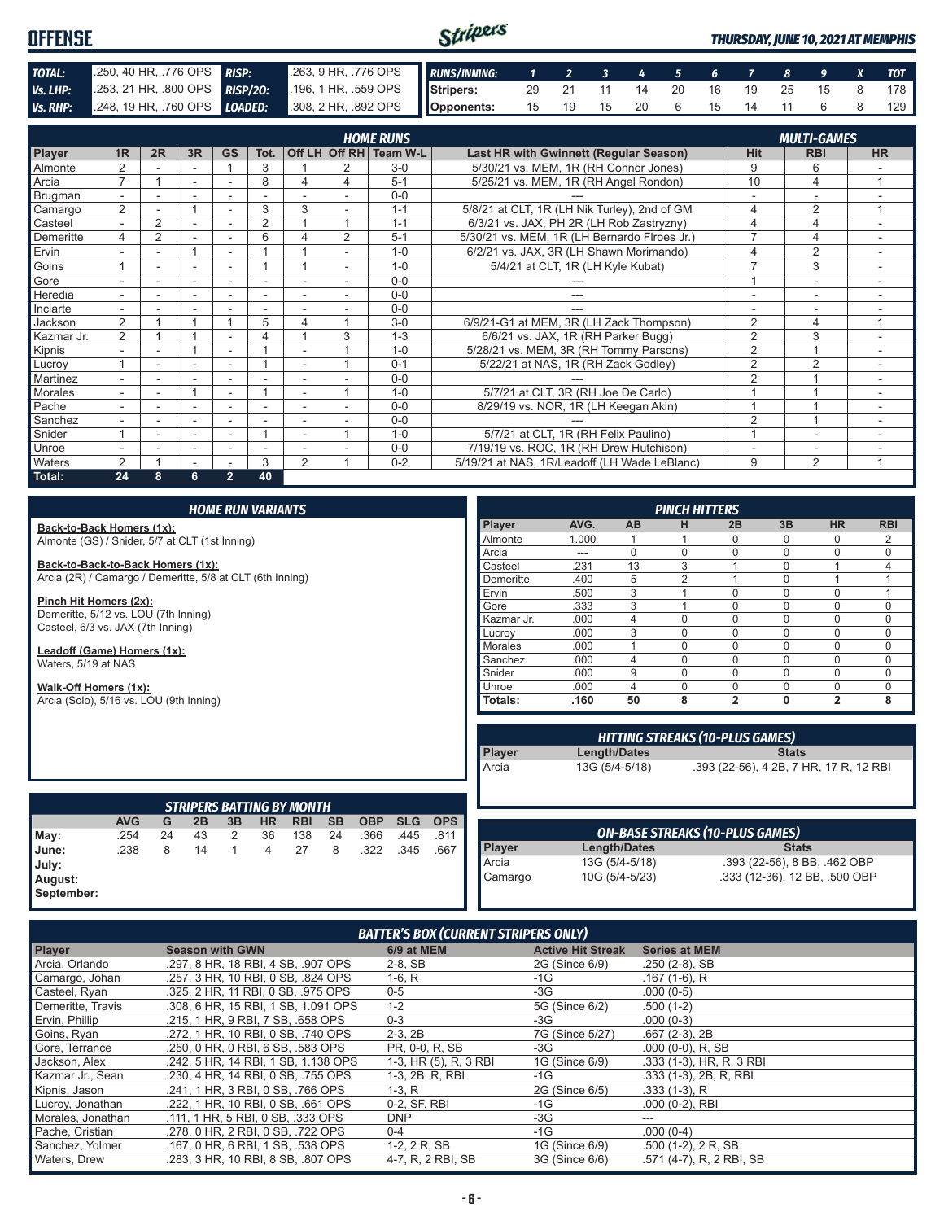#### Stripers **OFFENSE** *THURSDAY, JUNE 10, 2021 AT MEMPHIS TOTAL:* .250, 40 HR, .776 OPS *RISP:* .263, 9 HR, .776 OPS *RUNS/INNING: 1 2 3 4 5 6 7 8 9 X TOT Vs. LHP:* .253, 21 HR, .800 OPS **RISP/20:** .196, 1 HR, .559 OPS **Stripers:** 29 21 11 14 20 16 19 25 15 8 178 *Vs. RHP:* .248, 19 HR, .760 OPS *LOADED:* .308, 2 HR, .892 OPS **Opponents:** 15 19 15 20 6 15 14 11 6 8 129

|                | <b>HOME RUNS</b><br><b>MULTI-GAMES</b> |                |                          |                          |                          |                          |                |                        |                                              |                |                          |                          |
|----------------|----------------------------------------|----------------|--------------------------|--------------------------|--------------------------|--------------------------|----------------|------------------------|----------------------------------------------|----------------|--------------------------|--------------------------|
| <b>Player</b>  | 1R                                     | 2R             | 3R                       | <b>GS</b>                | Tot.                     |                          |                | Off LH Off RH Team W-L | Last HR with Gwinnett (Regular Season)       | <b>Hit</b>     | <b>RBI</b>               | <b>HR</b>                |
| Almonte        | $\overline{2}$                         |                |                          |                          | 3                        |                          | 2              | $3-0$                  | 5/30/21 vs. MEM, 1R (RH Connor Jones)        | 9              | 6                        |                          |
| Arcia          | $\overline{7}$                         |                | $\overline{\phantom{a}}$ |                          | 8                        | 4                        | 4              | $5 - 1$                | 5/25/21 vs. MEM, 1R (RH Angel Rondon)        | 10             | 4                        | $\overline{ }$           |
| Brugman        | $\overline{\phantom{0}}$               |                |                          |                          | $\overline{\phantom{a}}$ |                          |                | $0 - 0$                |                                              |                |                          |                          |
| Camargo        | $\overline{2}$                         |                |                          |                          | 3                        | 3                        |                | $1 - 1$                | 5/8/21 at CLT, 1R (LH Nik Turley), 2nd of GM | 4              | $\overline{2}$           | 4                        |
| Casteel        | $\sim$                                 | 2              |                          |                          | 2                        |                          |                | $1 - 1$                | 6/3/21 vs. JAX, PH 2R (LH Rob Zastryzny)     | $\overline{4}$ | 4                        | $\overline{\phantom{a}}$ |
| Demeritte      | 4                                      | $\overline{2}$ | $\overline{\phantom{a}}$ | $\overline{\phantom{a}}$ | 6                        | Δ                        | $\overline{2}$ | $5 - 1$                | 5/30/21 vs. MEM, 1R (LH Bernardo Flroes Jr.) | 7              | 4                        | ۰                        |
| Ervin          | $\overline{\phantom{0}}$               | ۰              |                          |                          |                          |                          |                | $1 - 0$                | 6/2/21 vs. JAX, 3R (LH Shawn Morimando)      | 4              | $\overline{2}$           |                          |
| Goins          |                                        | ۰              | $\overline{\phantom{a}}$ | $\overline{\phantom{a}}$ |                          |                          | $\sim$         | $1 - 0$                | 5/4/21 at CLT, 1R (LH Kyle Kubat)            | ⇁              | 3                        | ۰                        |
| Gore           | $\overline{\phantom{a}}$               | ۰.             | $\overline{\phantom{0}}$ |                          |                          |                          |                | $0 - 0$                |                                              |                | $\overline{\phantom{0}}$ |                          |
| Heredia        |                                        |                |                          |                          |                          |                          |                | $0 - 0$                |                                              |                |                          |                          |
| Inciarte       |                                        |                |                          |                          |                          |                          |                | $0 - 0$                |                                              |                |                          |                          |
| Jackson        | 2                                      |                |                          |                          | 5                        | 4                        |                | $3-0$                  | 6/9/21-G1 at MEM, 3R (LH Zack Thompson)      | 2              | 4                        | $\overline{ }$           |
| Kazmar Jr.     | 2                                      |                |                          |                          | 4                        |                          | 3              | $1 - 3$                | 6/6/21 vs. JAX, 1R (RH Parker Bugg)          | $\overline{2}$ | 3                        |                          |
| Kipnis         |                                        |                |                          |                          |                          |                          |                | $1 - 0$                | 5/28/21 vs. MEM, 3R (RH Tommy Parsons)       | $\overline{2}$ |                          |                          |
| Lucrov         |                                        |                |                          |                          |                          |                          |                | $0 - 1$                | 5/22/21 at NAS, 1R (RH Zack Godley)          | $\overline{2}$ | $\overline{2}$           | $\sim$                   |
| Martinez       |                                        | ۰.             | $\overline{\phantom{0}}$ | $\overline{\phantom{a}}$ | $\overline{\phantom{a}}$ |                          |                | $0 - 0$                |                                              | $\overline{2}$ |                          |                          |
| <b>Morales</b> | $\overline{\phantom{0}}$               | ۰              |                          |                          |                          |                          |                | $1 - 0$                | 5/7/21 at CLT, 3R (RH Joe De Carlo)          |                |                          |                          |
| Pache          |                                        |                |                          |                          |                          |                          |                | $0 - 0$                | 8/29/19 vs. NOR, 1R (LH Keegan Akin)         |                |                          |                          |
| Sanchez        | $\overline{\phantom{0}}$               | ۰              | $\overline{\phantom{a}}$ | $\overline{\phantom{a}}$ | ٠                        |                          |                | $0 - 0$                |                                              | $\mathfrak{p}$ |                          |                          |
| Snider         |                                        |                | $\overline{\phantom{0}}$ | ۰                        |                          | $\overline{\phantom{a}}$ |                | $1 - 0$                | 5/7/21 at CLT, 1R (RH Felix Paulino)         |                | ۰                        |                          |
| Unroe          |                                        |                |                          |                          | ٠                        |                          |                | $0 - 0$                | 7/19/19 vs. ROC, 1R (RH Drew Hutchison)      |                |                          |                          |
| Waters         | $\overline{2}$                         |                |                          |                          | 3                        | $\overline{2}$           |                | $0 - 2$                | 5/19/21 at NAS, 1R/Leadoff (LH Wade LeBlanc) | 9              | $\overline{2}$           | 1                        |
| Total:         | 24                                     | 8              | 6                        | $\overline{2}$           | 40                       |                          |                |                        |                                              |                |                          |                          |

|                                                           | <b>HOME RUN VARIANTS</b> |    |    |              |     |                                  |           |            |            |            |                |       |                | <b>PINCH HITTERS</b>                   |                |              |                                        |             |
|-----------------------------------------------------------|--------------------------|----|----|--------------|-----|----------------------------------|-----------|------------|------------|------------|----------------|-------|----------------|----------------------------------------|----------------|--------------|----------------------------------------|-------------|
| Back-to-Back Homers (1x):                                 |                          |    |    |              |     |                                  |           |            |            |            | Player         | AVG.  | <b>AB</b>      | н                                      | 2B             | 3B           | <b>HR</b>                              | <b>RBI</b>  |
| Almonte (GS) / Snider, 5/7 at CLT (1st Inning)            |                          |    |    |              |     |                                  |           |            |            |            | Almonte        | 1.000 |                |                                        | $\Omega$       | $\Omega$     | 0                                      | 2           |
|                                                           |                          |    |    |              |     |                                  |           |            |            |            | Arcia          | ---   | $\Omega$       | $\Omega$                               | $\Omega$       | $\Omega$     | 0                                      | $\mathbf 0$ |
| Back-to-Back-to-Back Homers (1x):                         |                          |    |    |              |     |                                  |           |            |            |            | Casteel        | .231  | 13             | 3                                      |                | $\Omega$     |                                        | 4           |
| Arcia (2R) / Camargo / Demeritte, 5/8 at CLT (6th Inning) |                          |    |    |              |     |                                  |           |            |            | Demeritte  | .400           | 5     | 2              |                                        | $\Omega$       |              |                                        |             |
|                                                           |                          |    |    |              |     |                                  |           |            |            |            | Ervin          | .500  | 3              |                                        | $\Omega$       | $\Omega$     | 0                                      |             |
| Pinch Hit Homers (2x):                                    |                          |    |    |              |     |                                  |           |            |            |            | Gore           | .333  | 3              |                                        | $\Omega$       | $\Omega$     | 0                                      | $\mathbf 0$ |
| Demeritte, 5/12 vs. LOU (7th Inning)                      |                          |    |    |              |     |                                  |           |            |            |            | Kazmar Jr.     | .000  | $\overline{4}$ | $\Omega$                               | $\mathbf 0$    | $\mathbf 0$  | 0                                      | 0           |
| Casteel, 6/3 vs. JAX (7th Inning)                         |                          |    |    |              |     |                                  |           |            |            | Lucrov     | .000           | 3     | $\Omega$       | $\Omega$                               | $\Omega$       | 0            | $\mathbf 0$                            |             |
| Leadoff (Game) Homers (1x):                               |                          |    |    |              |     |                                  |           |            |            |            | <b>Morales</b> | .000  |                | $\Omega$                               | $\Omega$       | $\Omega$     | 0                                      | 0           |
| Waters, 5/19 at NAS                                       |                          |    |    |              |     |                                  |           |            |            |            | Sanchez        | .000  | $\overline{4}$ | $\Omega$                               | $\Omega$       | $\Omega$     | 0                                      | 0           |
|                                                           |                          |    |    |              |     |                                  |           |            |            |            | Snider         | .000. | 9              | $\Omega$                               | $\Omega$       | $\Omega$     | $\Omega$                               | 0           |
| Walk-Off Homers (1x):                                     |                          |    |    |              |     |                                  |           |            |            |            | Unroe          | .000  | $\overline{4}$ | $\Omega$                               | $\Omega$       | $\Omega$     | 0                                      | $\mathbf 0$ |
| Arcia (Solo), 5/16 vs. LOU (9th Inning)                   |                          |    |    |              |     |                                  |           |            |            |            | Totals:        | .160  | 50             | 8                                      | $\overline{2}$ | $\mathbf{0}$ | $\overline{2}$                         | 8           |
|                                                           |                          |    |    |              |     |                                  |           |            |            |            |                |       |                |                                        |                |              |                                        |             |
|                                                           |                          |    |    |              |     |                                  |           |            |            |            |                |       |                | <b>HITTING STREAKS (10-PLUS GAMES)</b> |                |              |                                        |             |
|                                                           |                          |    |    |              |     |                                  |           |            |            |            | Player         |       | Length/Dates   |                                        |                | <b>Stats</b> |                                        |             |
|                                                           |                          |    |    |              |     |                                  |           |            |            |            | Arcia          |       | 13G (5/4-5/18) |                                        |                |              | .393 (22-56), 4 2B, 7 HR, 17 R, 12 RBI |             |
|                                                           |                          |    |    |              |     |                                  |           |            |            |            |                |       |                |                                        |                |              |                                        |             |
|                                                           |                          |    |    |              |     |                                  |           |            |            |            |                |       |                |                                        |                |              |                                        |             |
|                                                           |                          |    |    |              |     | <b>STRIPERS BATTING BY MONTH</b> |           |            |            |            |                |       |                |                                        |                |              |                                        |             |
|                                                           | <b>AVG</b>               | G  | 2B | 3B           | HR. | <b>RBI</b>                       | <b>SB</b> | <b>OBP</b> | <b>SLG</b> | <b>OPS</b> |                |       |                |                                        |                |              |                                        |             |
| May:                                                      | .254                     | 24 | 43 | 2            | 36  | 138                              | 24        | .366       | .445       | .811       |                |       |                | <b>ON-BASE STREAKS (10-PLUS GAMES)</b> |                |              |                                        |             |
| June:                                                     | .238                     | 8  | 14 | $\mathbf{1}$ | 4   | 27                               | 8         | .322       | .345       | .667       | Player         |       | Length/Dates   |                                        |                | <b>Stats</b> |                                        |             |
| July:                                                     |                          |    |    |              |     |                                  |           |            |            |            | Arcia          |       | 13G (5/4-5/18) |                                        |                |              | .393 (22-56), 8 BB, .462 OBP           |             |
| August:                                                   |                          |    |    |              |     |                                  |           |            |            |            | Camargo        |       | 10G (5/4-5/23) |                                        |                |              | .333 (12-36), 12 BB, .500 OBP          |             |

*BATTER'S BOX (CURRENT STRIPERS ONLY)*

**September:**

| Player            | <b>Season with GWN</b>              | 6/9 at MEM            | <b>Active Hit Streak</b> | <b>Series at MEM</b>     |
|-------------------|-------------------------------------|-----------------------|--------------------------|--------------------------|
| Arcia, Orlando    | .297, 8 HR, 18 RBI, 4 SB, .907 OPS  | $2-8$ , SB            | 2G (Since 6/9)           | $.250(2-8)$ , SB         |
| Camargo, Johan    | .257. 3 HR. 10 RBI. 0 SB. .824 OPS  | $1-6, R$              | $-1G$                    | $.167(1-6)$ , R          |
| Casteel, Ryan     | .325, 2 HR, 11 RBI, 0 SB, .975 OPS  | $0 - 5$               | -3G                      | $.000(0-5)$              |
| Demeritte, Travis | .308, 6 HR, 15 RBI, 1 SB, 1.091 OPS | $1 - 2$               | 5G (Since 6/2)           | $.500(1-2)$              |
| Ervin, Phillip    | .215, 1 HR, 9 RBI, 7 SB, .658 OPS   | $0 - 3$               | -3G                      | $.000(0-3)$              |
| Goins, Ryan       | .272, 1 HR, 10 RBI, 0 SB, .740 OPS  | $2-3.2B$              | 7G (Since 5/27)          | $.667(2-3), 2B$          |
| Gore, Terrance    | .250. 0 HR. 0 RBI. 6 SB. .583 OPS   | PR. 0-0. R. SB        | -3G                      | $.000(0-0)$ , R, SB      |
| Jackson, Alex     | .242, 5 HR, 14 RBI, 1 SB, 1.138 OPS | 1-3, HR (5), R, 3 RBI | 1G (Since 6/9)           | .333 (1-3), HR, R, 3 RBI |
| Kazmar Jr., Sean  | .230. 4 HR. 14 RBI. 0 SB. .755 OPS  | 1-3, 2B, R, RBI       | -1G                      | .333 (1-3), 2B, R, RBI   |
| Kipnis, Jason     | .241, 1 HR, 3 RBI, 0 SB, .766 OPS   | $1-3, R$              | 2G (Since 6/5)           | $.333(1-3)$ , R          |
| Lucroy, Jonathan  | .222. 1 HR. 10 RBI. 0 SB. .661 OPS  | 0-2, SF, RBI          | $-1G$                    | $.000(0-2)$ , RBI        |
| Morales, Jonathan | .111, 1 HR, 5 RBI, 0 SB, .333 OPS   | <b>DNP</b>            | $-3G$                    | ---                      |
| Pache, Cristian   | .278, 0 HR, 2 RBI, 0 SB, .722 OPS   | $0 - 4$               | $-1G$                    | $.000(0-4)$              |
| Sanchez, Yolmer   | .167, 0 HR, 6 RBI, 1 SB, .538 OPS   | 1-2, 2 R, SB          | 1G (Since 6/9)           | $.500(1-2), 2R, SB$      |
| Waters, Drew      | .283. 3 HR. 10 RBI. 8 SB. .807 OPS  | 4-7, R, 2 RBI, SB     | 3G (Since 6/6)           | .571 (4-7), R, 2 RBI, SB |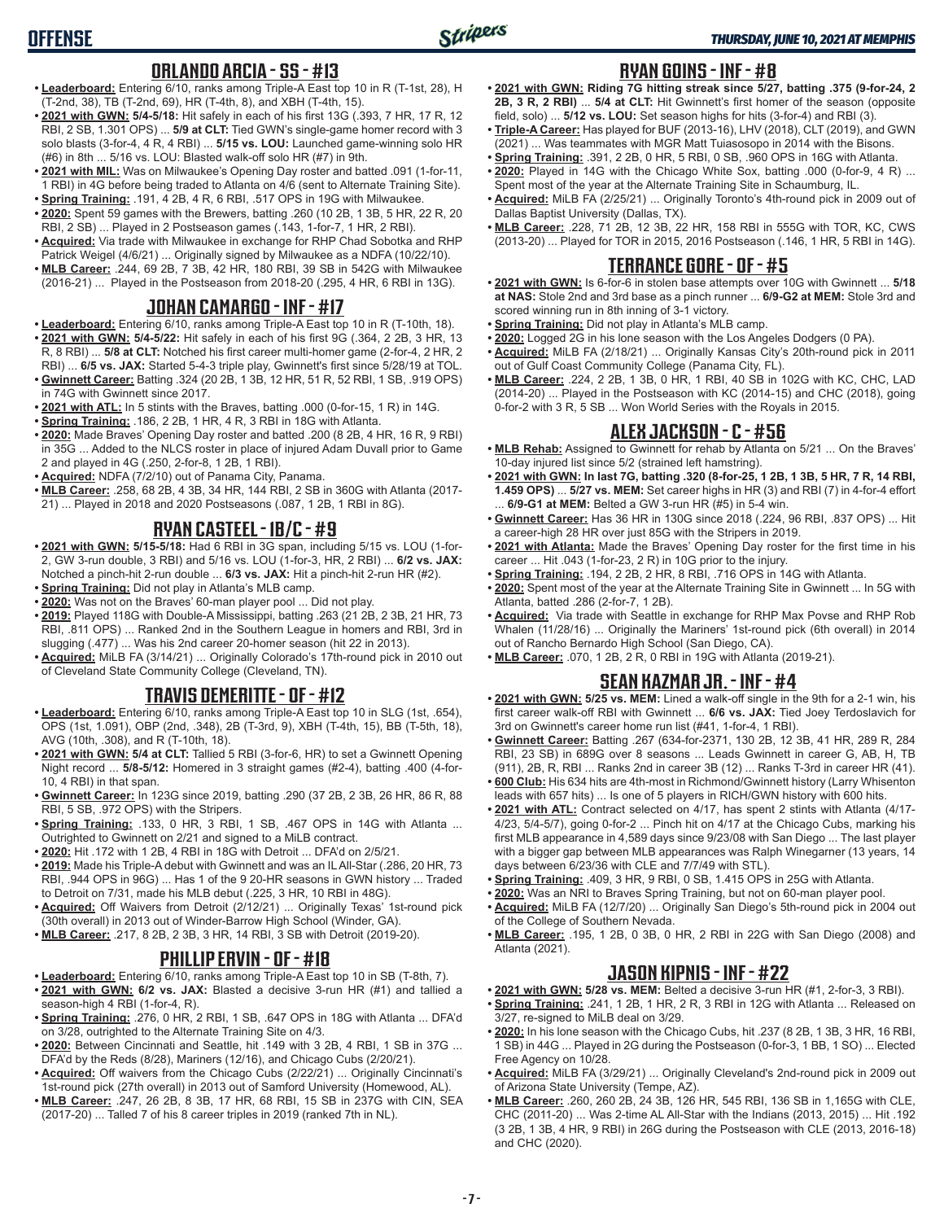# **ORLANDO ARCIA - SS - #13**

- **• Leaderboard:** Entering 6/10, ranks among Triple-A East top 10 in R (T-1st, 28), H (T-2nd, 38), TB (T-2nd, 69), HR (T-4th, 8), and XBH (T-4th, 15).
- **• 2021 with GWN: 5/4-5/18:** Hit safely in each of his first 13G (.393, 7 HR, 17 R, 12 RBI, 2 SB, 1.301 OPS) ... **5/9 at CLT:** Tied GWN's single-game homer record with 3 solo blasts (3-for-4, 4 R, 4 RBI) ... **5/15 vs. LOU:** Launched game-winning solo HR (#6) in 8th ... 5/16 vs. LOU: Blasted walk-off solo HR (#7) in 9th.
- **• 2021 with MIL:** Was on Milwaukee's Opening Day roster and batted .091 (1-for-11, 1 RBI) in 4G before being traded to Atlanta on 4/6 (sent to Alternate Training Site).
- **• Spring Training:** .191, 4 2B, 4 R, 6 RBI, .517 OPS in 19G with Milwaukee. **• 2020:** Spent 59 games with the Brewers, batting .260 (10 2B, 1 3B, 5 HR, 22 R, 20
- RBI, 2 SB) ... Played in 2 Postseason games (.143, 1-for-7, 1 HR, 2 RBI). **• Acquired:** Via trade with Milwaukee in exchange for RHP Chad Sobotka and RHP
- Patrick Weigel (4/6/21) ... Originally signed by Milwaukee as a NDFA (10/22/10). **• MLB Career:** .244, 69 2B, 7 3B, 42 HR, 180 RBI, 39 SB in 542G with Milwaukee
- (2016-21) ... Played in the Postseason from 2018-20 (.295, 4 HR, 6 RBI in 13G).

# **JOHAN CAMARGO - INF - #17**

- **• Leaderboard:** Entering 6/10, ranks among Triple-A East top 10 in R (T-10th, 18).
- **• 2021 with GWN: 5/4-5/22:** Hit safely in each of his first 9G (.364, 2 2B, 3 HR, 13 R, 8 RBI) ... **5/8 at CLT:** Notched his first career multi-homer game (2-for-4, 2 HR, 2 RBI) ... **6/5 vs. JAX:** Started 5-4-3 triple play, Gwinnett's first since 5/28/19 at TOL.
- **• Gwinnett Career:** Batting .324 (20 2B, 1 3B, 12 HR, 51 R, 52 RBI, 1 SB, .919 OPS) in 74G with Gwinnett since 2017.
- **• 2021 with ATL:** In 5 stints with the Braves, batting .000 (0-for-15, 1 R) in 14G.
- **• Spring Training:** .186, 2 2B, 1 HR, 4 R, 3 RBI in 18G with Atlanta. **• 2020:** Made Braves' Opening Day roster and batted .200 (8 2B, 4 HR, 16 R, 9 RBI)
- in 35G ... Added to the NLCS roster in place of injured Adam Duvall prior to Game 2 and played in 4G (.250, 2-for-8, 1 2B, 1 RBI).
- **• Acquired:** NDFA (7/2/10) out of Panama City, Panama.
- **• MLB Career:** .258, 68 2B, 4 3B, 34 HR, 144 RBI, 2 SB in 360G with Atlanta (2017- 21) ... Played in 2018 and 2020 Postseasons (.087, 1 2B, 1 RBI in 8G).

# **RYAN CASTEEL - 1B/C - #9**

- **• 2021 with GWN: 5/15-5/18:** Had 6 RBI in 3G span, including 5/15 vs. LOU (1-for-2, GW 3-run double, 3 RBI) and 5/16 vs. LOU (1-for-3, HR, 2 RBI) ... **6/2 vs. JAX:** Notched a pinch-hit 2-run double ... **6/3 vs. JAX:** Hit a pinch-hit 2-run HR (#2).
- **• Spring Training:** Did not play in Atlanta's MLB camp.
- **• 2020:** Was not on the Braves' 60-man player pool ... Did not play.
- **• 2019:** Played 118G with Double-A Mississippi, batting .263 (21 2B, 2 3B, 21 HR, 73 RBI, .811 OPS) ... Ranked 2nd in the Southern League in homers and RBI, 3rd in slugging (.477) ... Was his 2nd career 20-homer season (hit 22 in 2013).
- **• Acquired:** MiLB FA (3/14/21) ... Originally Colorado's 17th-round pick in 2010 out of Cleveland State Community College (Cleveland, TN).

# **TRAVIS DEMERITTE - OF - #12**

- **• Leaderboard:** Entering 6/10, ranks among Triple-A East top 10 in SLG (1st, .654), OPS (1st, 1.091), OBP (2nd, .348), 2B (T-3rd, 9), XBH (T-4th, 15), BB (T-5th, 18), AVG (10th, .308), and R (T-10th, 18).
- **• 2021 with GWN: 5/4 at CLT:** Tallied 5 RBI (3-for-6, HR) to set a Gwinnett Opening Night record ... **5/8-5/12:** Homered in 3 straight games (#2-4), batting .400 (4-for-10, 4 RBI) in that span.
- **• Gwinnett Career:** In 123G since 2019, batting .290 (37 2B, 2 3B, 26 HR, 86 R, 88 RBI, 5 SB, .972 OPS) with the Stripers.
- **• Spring Training:** .133, 0 HR, 3 RBI, 1 SB, .467 OPS in 14G with Atlanta ... Outrighted to Gwinnett on 2/21 and signed to a MiLB contract.
- **• 2020:** Hit .172 with 1 2B, 4 RBI in 18G with Detroit ... DFA'd on 2/5/21.
- **• 2019:** Made his Triple-A debut with Gwinnett and was an IL All-Star (.286, 20 HR, 73 RBI, .944 OPS in 96G) ... Has 1 of the 9 20-HR seasons in GWN history ... Traded to Detroit on 7/31, made his MLB debut (.225, 3 HR, 10 RBI in 48G).
- **• Acquired:** Off Waivers from Detroit (2/12/21) ... Originally Texas' 1st-round pick (30th overall) in 2013 out of Winder-Barrow High School (Winder, GA).
- **• MLB Career:** .217, 8 2B, 2 3B, 3 HR, 14 RBI, 3 SB with Detroit (2019-20).

# **PHILLIP ERVIN - OF - #18**

- **• Leaderboard:** Entering 6/10, ranks among Triple-A East top 10 in SB (T-8th, 7).
- **• 2021 with GWN: 6/2 vs. JAX:** Blasted a decisive 3-run HR (#1) and tallied a season-high 4 RBI (1-for-4, R).
- **• Spring Training:** .276, 0 HR, 2 RBI, 1 SB, .647 OPS in 18G with Atlanta ... DFA'd on 3/28, outrighted to the Alternate Training Site on 4/3.
- **• 2020:** Between Cincinnati and Seattle, hit .149 with 3 2B, 4 RBI, 1 SB in 37G ... DFA'd by the Reds (8/28), Mariners (12/16), and Chicago Cubs (2/20/21).
- **• Acquired:** Off waivers from the Chicago Cubs (2/22/21) ... Originally Cincinnati's 1st-round pick (27th overall) in 2013 out of Samford University (Homewood, AL).
- **• MLB Career:** .247, 26 2B, 8 3B, 17 HR, 68 RBI, 15 SB in 237G with CIN, SEA (2017-20) ... Talled 7 of his 8 career triples in 2019 (ranked 7th in NL).

# **RYAN GOINS - INF - #8**

- **• 2021 with GWN: Riding 7G hitting streak since 5/27, batting .375 (9-for-24, 2 2B, 3 R, 2 RBI)** ... **5/4 at CLT:** Hit Gwinnett's first homer of the season (opposite field, solo) ... **5/12 vs. LOU:** Set season highs for hits (3-for-4) and RBI (3).
- **• Triple-A Career:** Has played for BUF (2013-16), LHV (2018), CLT (2019), and GWN (2021) ... Was teammates with MGR Matt Tuiasosopo in 2014 with the Bisons.
- **• Spring Training:** .391, 2 2B, 0 HR, 5 RBI, 0 SB, .960 OPS in 16G with Atlanta. **• 2020:** Played in 14G with the Chicago White Sox, batting .000 (0-for-9, 4 R) ...
- Spent most of the year at the Alternate Training Site in Schaumburg, IL. **• Acquired:** MiLB FA (2/25/21) ... Originally Toronto's 4th-round pick in 2009 out of
- Dallas Baptist University (Dallas, TX).
- **• MLB Career:** .228, 71 2B, 12 3B, 22 HR, 158 RBI in 555G with TOR, KC, CWS (2013-20) ... Played for TOR in 2015, 2016 Postseason (.146, 1 HR, 5 RBI in 14G).

# **TERRANCE GORE - OF - #5**

- **• 2021 with GWN:** Is 6-for-6 in stolen base attempts over 10G with Gwinnett ... **5/18 at NAS:** Stole 2nd and 3rd base as a pinch runner ... **6/9-G2 at MEM:** Stole 3rd and scored winning run in 8th inning of 3-1 victory.
- **• Spring Training:** Did not play in Atlanta's MLB camp.
- **• 2020:** Logged 2G in his lone season with the Los Angeles Dodgers (0 PA).
- **• Acquired:** MiLB FA (2/18/21) ... Originally Kansas City's 20th-round pick in 2011 out of Gulf Coast Community College (Panama City, FL).
- **• MLB Career:** .224, 2 2B, 1 3B, 0 HR, 1 RBI, 40 SB in 102G with KC, CHC, LAD (2014-20) ... Played in the Postseason with KC (2014-15) and CHC (2018), going 0-for-2 with 3 R, 5 SB ... Won World Series with the Royals in 2015.

# **ALEX JACKSON - C - #56**

- **• MLB Rehab:** Assigned to Gwinnett for rehab by Atlanta on 5/21 ... On the Braves' 10-day injured list since 5/2 (strained left hamstring).
- **• 2021 with GWN: In last 7G, batting .320 (8-for-25, 1 2B, 1 3B, 5 HR, 7 R, 14 RBI, 1.459 OPS)** ... **5/27 vs. MEM:** Set career highs in HR (3) and RBI (7) in 4-for-4 effort ... **6/9-G1 at MEM:** Belted a GW 3-run HR (#5) in 5-4 win.
- **• Gwinnett Career:** Has 36 HR in 130G since 2018 (.224, 96 RBI, .837 OPS) ... Hit a career-high 28 HR over just 85G with the Stripers in 2019.
- **• 2021 with Atlanta:** Made the Braves' Opening Day roster for the first time in his career ... Hit .043 (1-for-23, 2 R) in 10G prior to the injury.
- **• Spring Training:** .194, 2 2B, 2 HR, 8 RBI, .716 OPS in 14G with Atlanta.
- **• 2020:** Spent most of the year at the Alternate Training Site in Gwinnett ... In 5G with Atlanta, batted .286 (2-for-7, 1 2B).
- **• Acquired:** Via trade with Seattle in exchange for RHP Max Povse and RHP Rob Whalen (11/28/16) ... Originally the Mariners' 1st-round pick (6th overall) in 2014 out of Rancho Bernardo High School (San Diego, CA).
- **• MLB Career:** .070, 1 2B, 2 R, 0 RBI in 19G with Atlanta (2019-21).

# **SEAN KAZMAR JR. - INF - #4**

- **• 2021 with GWN: 5/25 vs. MEM:** Lined a walk-off single in the 9th for a 2-1 win, his first career walk-off RBI with Gwinnett ... **6/6 vs. JAX:** Tied Joey Terdoslavich for 3rd on Gwinnett's career home run list (#41, 1-for-4, 1 RBI).
- **• Gwinnett Career:** Batting .267 (634-for-2371, 130 2B, 12 3B, 41 HR, 289 R, 284 RBI, 23 SB) in 689G over 8 seasons ... Leads Gwinnett in career G, AB, H, TB (911), 2B, R, RBI ... Ranks 2nd in career 3B (12) ... Ranks T-3rd in career HR (41).
- **• 600 Club:** His 634 hits are 4th-most in Richmond/Gwinnett history (Larry Whisenton leads with 657 hits) ... Is one of 5 players in RICH/GWN history with 600 hits.
- **• 2021 with ATL:** Contract selected on 4/17, has spent 2 stints with Atlanta (4/17- 4/23, 5/4-5/7), going 0-for-2 ... Pinch hit on 4/17 at the Chicago Cubs, marking his first MLB appearance in 4,589 days since 9/23/08 with San Diego ... The last player with a bigger gap between MLB appearances was Ralph Winegarner (13 years, 14 days between 6/23/36 with CLE and 7/7/49 with STL).
- **• Spring Training:** .409, 3 HR, 9 RBI, 0 SB, 1.415 OPS in 25G with Atlanta.
- **• 2020:** Was an NRI to Braves Spring Training, but not on 60-man player pool.
- **• Acquired:** MiLB FA (12/7/20) ... Originally San Diego's 5th-round pick in 2004 out of the College of Southern Nevada.
- **• MLB Career:** .195, 1 2B, 0 3B, 0 HR, 2 RBI in 22G with San Diego (2008) and Atlanta (2021).

# **JASON KIPNIS - INF - #22**

- **• 2021 with GWN: 5/28 vs. MEM:** Belted a decisive 3-run HR (#1, 2-for-3, 3 RBI).
- **• Spring Training:** .241, 1 2B, 1 HR, 2 R, 3 RBI in 12G with Atlanta ... Released on 3/27, re-signed to MiLB deal on 3/29.
- **• 2020:** In his lone season with the Chicago Cubs, hit .237 (8 2B, 1 3B, 3 HR, 16 RBI, 1 SB) in 44G ... Played in 2G during the Postseason (0-for-3, 1 BB, 1 SO) ... Elected Free Agency on 10/28.
- **• Acquired:** MiLB FA (3/29/21) ... Originally Cleveland's 2nd-round pick in 2009 out of Arizona State University (Tempe, AZ).
- **• MLB Career:** .260, 260 2B, 24 3B, 126 HR, 545 RBI, 136 SB in 1,165G with CLE, CHC (2011-20) ... Was 2-time AL All-Star with the Indians (2013, 2015) ... Hit .192 (3 2B, 1 3B, 4 HR, 9 RBI) in 26G during the Postseason with CLE (2013, 2016-18) and CHC (2020).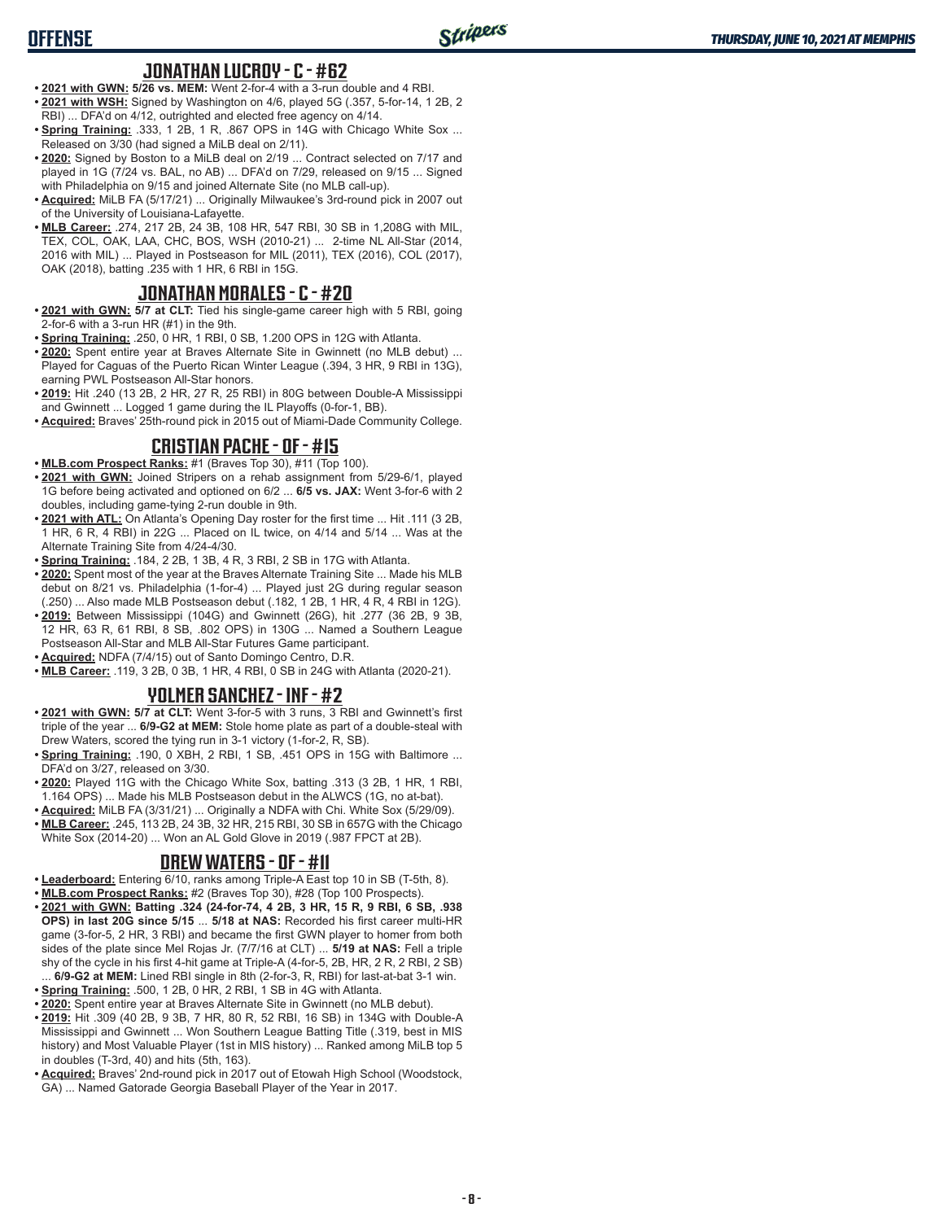## **JONATHAN LUCROY - C - #62**

- **• 2021 with GWN: 5/26 vs. MEM:** Went 2-for-4 with a 3-run double and 4 RBI. **• 2021 with WSH:** Signed by Washington on 4/6, played 5G (.357, 5-for-14, 1 2B, 2 RBI) ... DFA'd on 4/12, outrighted and elected free agency on 4/14.
- **Spring Training: .333, 1 2B, 1 R, .867 OPS in 14G with Chicago White Sox ...** Released on 3/30 (had signed a MiLB deal on 2/11).
- **• 2020:** Signed by Boston to a MiLB deal on 2/19 ... Contract selected on 7/17 and played in 1G (7/24 vs. BAL, no AB) ... DFA'd on 7/29, released on 9/15 ... Signed with Philadelphia on 9/15 and joined Alternate Site (no MLB call-up).
- **• Acquired:** MiLB FA (5/17/21) ... Originally Milwaukee's 3rd-round pick in 2007 out of the University of Louisiana-Lafayette.
- **• MLB Career:** .274, 217 2B, 24 3B, 108 HR, 547 RBI, 30 SB in 1,208G with MIL, TEX, COL, OAK, LAA, CHC, BOS, WSH (2010-21) ... 2-time NL All-Star (2014, 2016 with MIL) ... Played in Postseason for MIL (2011), TEX (2016), COL (2017), OAK (2018), batting .235 with 1 HR, 6 RBI in 15G.

# **JONATHAN MORALES - C - #20**

- **• 2021 with GWN: 5/7 at CLT:** Tied his single-game career high with 5 RBI, going 2-for-6 with a 3-run HR (#1) in the 9th.
- **• Spring Training:** .250, 0 HR, 1 RBI, 0 SB, 1.200 OPS in 12G with Atlanta.
- **• 2020:** Spent entire year at Braves Alternate Site in Gwinnett (no MLB debut) ... Played for Caguas of the Puerto Rican Winter League (.394, 3 HR, 9 RBI in 13G), earning PWL Postseason All-Star honors.
- **• 2019:** Hit .240 (13 2B, 2 HR, 27 R, 25 RBI) in 80G between Double-A Mississippi and Gwinnett ... Logged 1 game during the IL Playoffs (0-for-1, BB).
- **• Acquired:** Braves' 25th-round pick in 2015 out of Miami-Dade Community College.

# **CRISTIAN PACHE - OF - #15**

- **• MLB.com Prospect Ranks:** #1 (Braves Top 30), #11 (Top 100).
- **• 2021 with GWN:** Joined Stripers on a rehab assignment from 5/29-6/1, played 1G before being activated and optioned on 6/2 ... **6/5 vs. JAX:** Went 3-for-6 with 2 doubles, including game-tying 2-run double in 9th.
- **• 2021 with ATL:** On Atlanta's Opening Day roster for the first time ... Hit .111 (3 2B, 1 HR, 6 R, 4 RBI) in 22G ... Placed on IL twice, on 4/14 and 5/14 ... Was at the Alternate Training Site from 4/24-4/30.
- **• Spring Training:** .184, 2 2B, 1 3B, 4 R, 3 RBI, 2 SB in 17G with Atlanta.
- **• 2020:** Spent most of the year at the Braves Alternate Training Site ... Made his MLB debut on 8/21 vs. Philadelphia (1-for-4) ... Played just 2G during regular season (.250) ... Also made MLB Postseason debut (.182, 1 2B, 1 HR, 4 R, 4 RBI in 12G).
- **• 2019:** Between Mississippi (104G) and Gwinnett (26G), hit .277 (36 2B, 9 3B, 12 HR, 63 R, 61 RBI, 8 SB, .802 OPS) in 130G ... Named a Southern League Postseason All-Star and MLB All-Star Futures Game participant.
- **• Acquired:** NDFA (7/4/15) out of Santo Domingo Centro, D.R.
- **• MLB Career:** .119, 3 2B, 0 3B, 1 HR, 4 RBI, 0 SB in 24G with Atlanta (2020-21).

# **YOLMER SANCHEZ - INF - #2**

- **• 2021 with GWN: 5/7 at CLT:** Went 3-for-5 with 3 runs, 3 RBI and Gwinnett's first triple of the year ... **6/9-G2 at MEM:** Stole home plate as part of a double-steal with Drew Waters, scored the tying run in 3-1 victory (1-for-2, R, SB).
- **• Spring Training:** .190, 0 XBH, 2 RBI, 1 SB, .451 OPS in 15G with Baltimore ... DFA'd on 3/27, released on 3/30.
- **• 2020:** Played 11G with the Chicago White Sox, batting .313 (3 2B, 1 HR, 1 RBI, 1.164 OPS) ... Made his MLB Postseason debut in the ALWCS (1G, no at-bat).
- **• Acquired:** MiLB FA (3/31/21) ... Originally a NDFA with Chi. White Sox (5/29/09). **• MLB Career:** .245, 113 2B, 24 3B, 32 HR, 215 RBI, 30 SB in 657G with the Chicago White Sox (2014-20) ... Won an AL Gold Glove in 2019 (.987 FPCT at 2B).

## **DREW WATERS - OF - #11**

- **• Leaderboard:** Entering 6/10, ranks among Triple-A East top 10 in SB (T-5th, 8).
- **• MLB.com Prospect Ranks:** #2 (Braves Top 30), #28 (Top 100 Prospects).
- **• 2021 with GWN: Batting .324 (24-for-74, 4 2B, 3 HR, 15 R, 9 RBI, 6 SB, .938 OPS) in last 20G since 5/15** ... **5/18 at NAS:** Recorded his first career multi-HR game (3-for-5, 2 HR, 3 RBI) and became the first GWN player to homer from both sides of the plate since Mel Rojas Jr. (7/7/16 at CLT) ... **5/19 at NAS:** Fell a triple shy of the cycle in his first 4-hit game at Triple-A (4-for-5, 2B, HR, 2 R, 2 RBI, 2 SB) ... **6/9-G2 at MEM:** Lined RBI single in 8th (2-for-3, R, RBI) for last-at-bat 3-1 win.
- **• Spring Training:** .500, 1 2B, 0 HR, 2 RBI, 1 SB in 4G with Atlanta.
- **• 2020:** Spent entire year at Braves Alternate Site in Gwinnett (no MLB debut).
- **• 2019:** Hit .309 (40 2B, 9 3B, 7 HR, 80 R, 52 RBI, 16 SB) in 134G with Double-A Mississippi and Gwinnett ... Won Southern League Batting Title (.319, best in MIS history) and Most Valuable Player (1st in MIS history) ... Ranked among MiLB top 5 in doubles (T-3rd, 40) and hits (5th, 163).
- **• Acquired:** Braves' 2nd-round pick in 2017 out of Etowah High School (Woodstock, GA) ... Named Gatorade Georgia Baseball Player of the Year in 2017.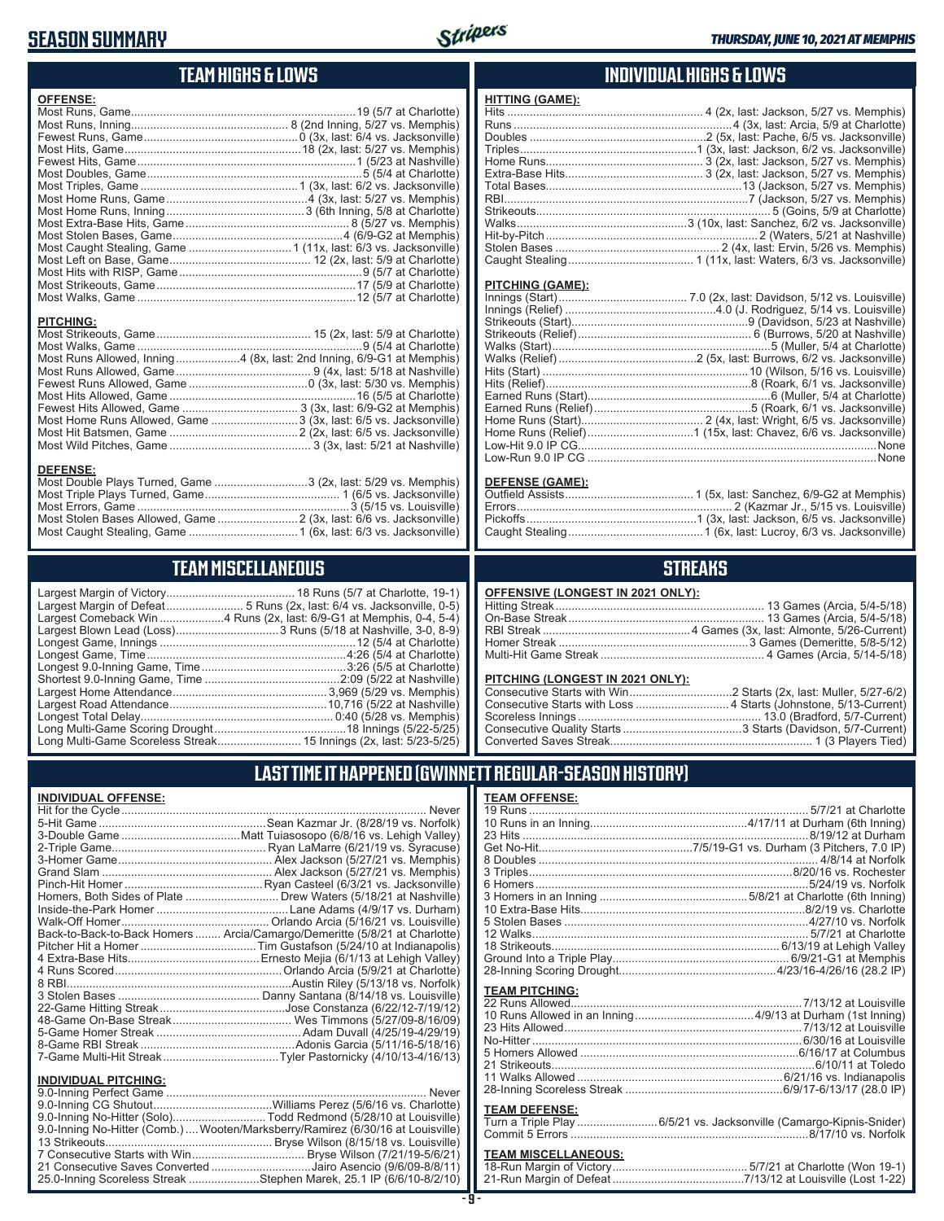# **SEASON SUMMARY**

**DEFENSE:**



# **TEAM HIGHS & LOWS**

| <b>OFFENSE:</b>  |                                                                      |
|------------------|----------------------------------------------------------------------|
|                  |                                                                      |
|                  |                                                                      |
|                  |                                                                      |
|                  |                                                                      |
|                  |                                                                      |
|                  |                                                                      |
|                  |                                                                      |
|                  |                                                                      |
|                  |                                                                      |
|                  |                                                                      |
|                  |                                                                      |
|                  |                                                                      |
|                  |                                                                      |
|                  |                                                                      |
|                  |                                                                      |
|                  |                                                                      |
|                  |                                                                      |
| <b>PITCHING:</b> |                                                                      |
|                  |                                                                      |
|                  |                                                                      |
|                  | Most Runs Allowed, Inning4 (8x, last: 2nd Inning, 6/9-G1 at Memphis) |
|                  |                                                                      |
|                  |                                                                      |
|                  |                                                                      |
|                  |                                                                      |
|                  |                                                                      |

Most Home Runs Allowed, Game ...........................3 (3x, last: 6/5 vs. Jacksonville) Most Hit Batsmen, Game ........................................2 (2x, last: 6/5 vs. Jacksonville) Most Wild Pitches, Game ............................................ 3 (3x, last: 5/21 at Nashville)

Most Double Plays Turned, Game .............................3 (2x, last: 5/29 vs. Memphis) Most Triple Plays Turned, Game .......................................... 1 (6/5 vs. Jacksonville) Most Errors, Game ..................................................................3 (5/15 vs. Louisville) Most Stolen Bases Allowed, Game .........................2 (3x, last: 6/6 vs. Jacksonville) Most Caught Stealing, Game ..................................1 (6x, last: 6/3 vs. Jacksonville)

**TEAM MISCELLANEOUS**

#### **INDIVIDUAL HIGHS & LOWS**

| <u>HITTING (GAME):</u>  |  |
|-------------------------|--|
|                         |  |
|                         |  |
|                         |  |
|                         |  |
|                         |  |
|                         |  |
|                         |  |
|                         |  |
|                         |  |
|                         |  |
|                         |  |
|                         |  |
|                         |  |
| <b>PITCHING (GAME):</b> |  |
|                         |  |
|                         |  |
|                         |  |
|                         |  |
|                         |  |
|                         |  |

| Low-Run 9.0 IP CG ………………………………………………………………………………None |
|------------------------------------------------------|

#### **DEFENSE (GAME):**

#### **STREAKS**

# **LAST TIME IT HAPPENED (GWINNETT REGULAR-SEASON HISTORY)**

| Homers, Both Sides of Plate  Drew Waters (5/18/21 at Nashville)            |
|----------------------------------------------------------------------------|
|                                                                            |
|                                                                            |
| Back-to-Back-to-Back Homers  Arcia/Camargo/Demeritte (5/8/21 at Charlotte) |
|                                                                            |
|                                                                            |
|                                                                            |
|                                                                            |
|                                                                            |
|                                                                            |
|                                                                            |
|                                                                            |
|                                                                            |
|                                                                            |
|                                                                            |
|                                                                            |
|                                                                            |
|                                                                            |

| 9.0-Inning No-Hitter (Solo)Todd Redmond (5/28/10 at Louisville)                |  |
|--------------------------------------------------------------------------------|--|
| 9.0-Inning No-Hitter (Comb.) Wooten/Marksberry/Ramirez (6/30/16 at Louisville) |  |
|                                                                                |  |
| 7 Consecutive Starts with Win Bryse Wilson (7/21/19-5/6/21)                    |  |
| 21 Consecutive Saves Converted Jairo Asencio (9/6/09-8/8/11)                   |  |
| 25.0-Inning Scoreless Streak Stephen Marek, 25.1 IP (6/6/10-8/2/10)            |  |
|                                                                                |  |

#### **- 9 -**

| <b>TEAM OFFENSE:</b>  |  |
|-----------------------|--|
|                       |  |
|                       |  |
|                       |  |
|                       |  |
|                       |  |
|                       |  |
|                       |  |
|                       |  |
|                       |  |
|                       |  |
|                       |  |
|                       |  |
|                       |  |
|                       |  |
|                       |  |
| <b>TEAM PITCHING:</b> |  |
|                       |  |
|                       |  |

| 5 Homers Allowed ………………………………………………………………6/16/17 at Columbus |  |
|--------------------------------------------------------------|--|
|                                                              |  |
|                                                              |  |
|                                                              |  |
|                                                              |  |

#### **TEAM DEFENSE:**

| Turn a Triple Play 6/5/21 vs. Jacksonville (Camargo-Kipnis-Snider) |  |
|--------------------------------------------------------------------|--|
|                                                                    |  |

# **TEAM MISCELLANEOUS:**<br>18-Run Margin of Victory...

| 21-Run Margin of Defeat…………………………………7/13/12 at Louisville (Lost 1-22) |  |  |
|-----------------------------------------------------------------------|--|--|

# **INDIVIDUAL OFFENSE:**